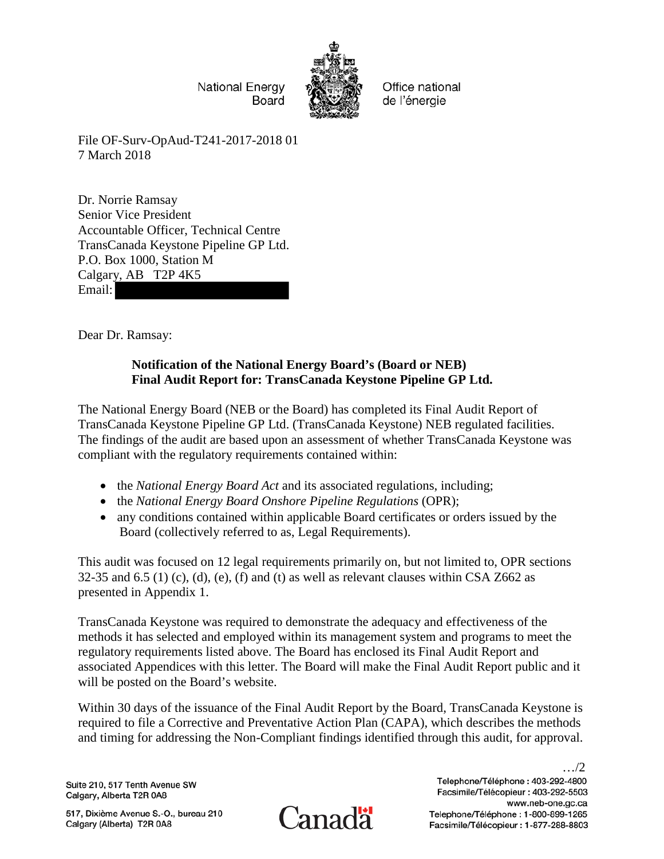**National Energy** Board



Office national de l'énergie

File OF-Surv-OpAud-T241-2017-2018 01 7 March 2018

Dr. Norrie Ramsay Senior Vice President Accountable Officer, Technical Centre TransCanada Keystone Pipeline GP Ltd. P.O. Box 1000, Station M Calgary, AB T2P 4K5 Email:

Dear Dr. Ramsay:

# **Notification of the National Energy Board's (Board or NEB) Final Audit Report for: TransCanada Keystone Pipeline GP Ltd.**

The National Energy Board (NEB or the Board) has completed its Final Audit Report of TransCanada Keystone Pipeline GP Ltd. (TransCanada Keystone) NEB regulated facilities. The findings of the audit are based upon an assessment of whether TransCanada Keystone was compliant with the regulatory requirements contained within:

- the *National Energy Board Act* and its associated regulations, including;
- the *National Energy Board Onshore Pipeline Regulations* (OPR);
- any conditions contained within applicable Board certificates or orders issued by the Board (collectively referred to as, Legal Requirements).

This audit was focused on 12 legal requirements primarily on, but not limited to, OPR sections 32-35 and 6.5 (1) (c), (d), (e), (f) and (t) as well as relevant clauses within CSA Z662 as presented in Appendix 1.

TransCanada Keystone was required to demonstrate the adequacy and effectiveness of the methods it has selected and employed within its management system and programs to meet the regulatory requirements listed above. The Board has enclosed its Final Audit Report and associated Appendices with this letter. The Board will make the Final Audit Report public and it will be posted on the Board's website.

Within 30 days of the issuance of the Final Audit Report by the Board, TransCanada Keystone is required to file a Corrective and Preventative Action Plan (CAPA), which describes the methods and timing for addressing the Non-Compliant findings identified through this audit, for approval.

Suite 210, 517 Tenth Avenue SW Calgary, Alberta T2R 0A8

517, Dixième Avenue S.-O., bureau 210 Calgary (Alberta) T2R 0A8



Telephone/Téléphone: 403-292-4800 Facsimile/Télécopieur : 403-292-5503 www.neb-one.gc.ca Telephone/Téléphone: 1-800-899-1265 Facsimile/Télécopieur: 1-877-288-8803

…/2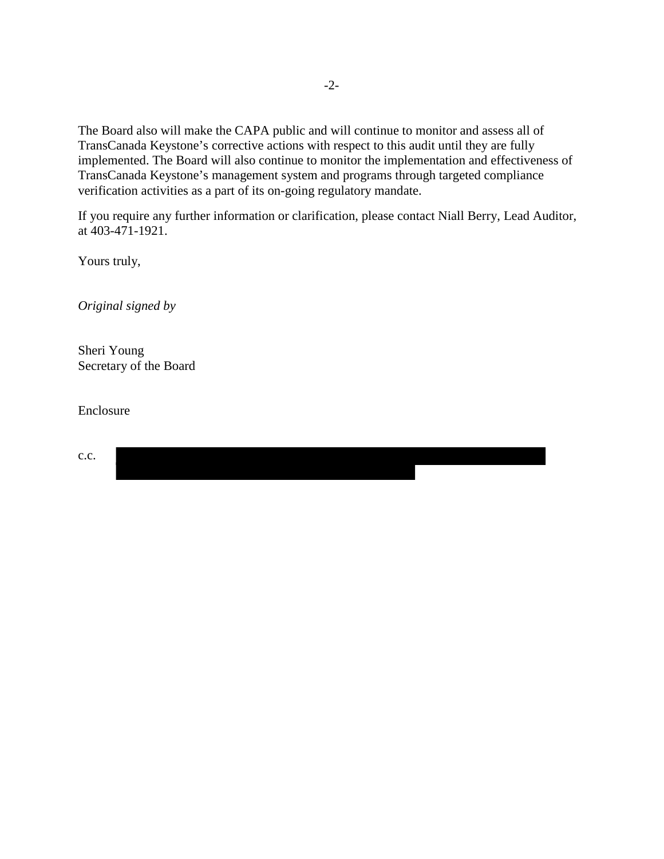The Board also will make the CAPA public and will continue to monitor and assess all of TransCanada Keystone's corrective actions with respect to this audit until they are fully implemented. The Board will also continue to monitor the implementation and effectiveness of TransCanada Keystone's management system and programs through targeted compliance verification activities as a part of its on-going regulatory mandate.

If you require any further information or clarification, please contact Niall Berry, Lead Auditor, at 403-471-1921.

I

Yours truly,

*Original signed by* 

Sheri Young Secretary of the Board

Enclosure

c.c.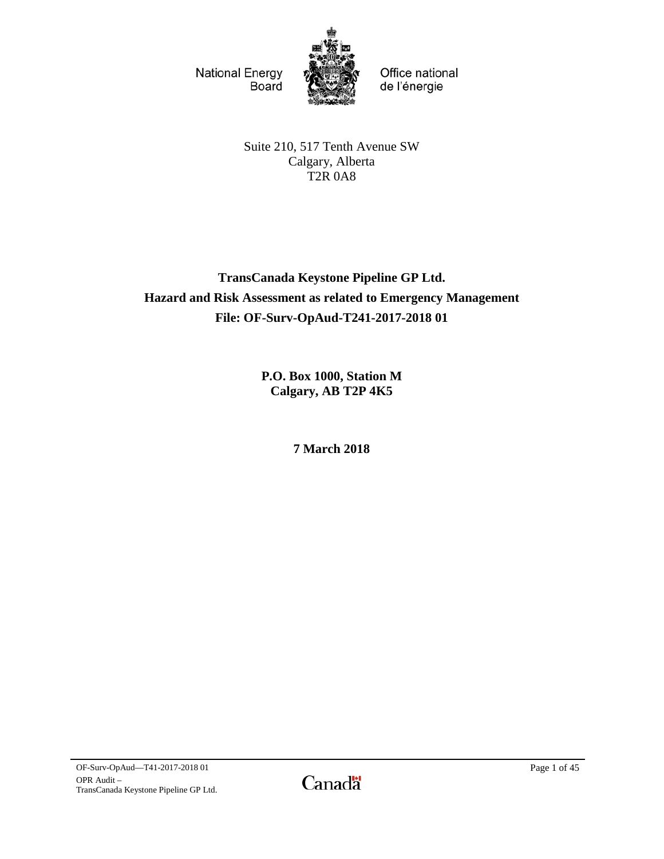**National Energy** Board



Office national de l'énergie

Suite 210, 517 Tenth Avenue SW Calgary, Alberta T2R 0A8

# **TransCanada Keystone Pipeline GP Ltd. Hazard and Risk Assessment as related to Emergency Management File: OF-Surv-OpAud-T241-2017-2018 01**

**P.O. Box 1000, Station M Calgary, AB T2P 4K5**

**7 March 2018**

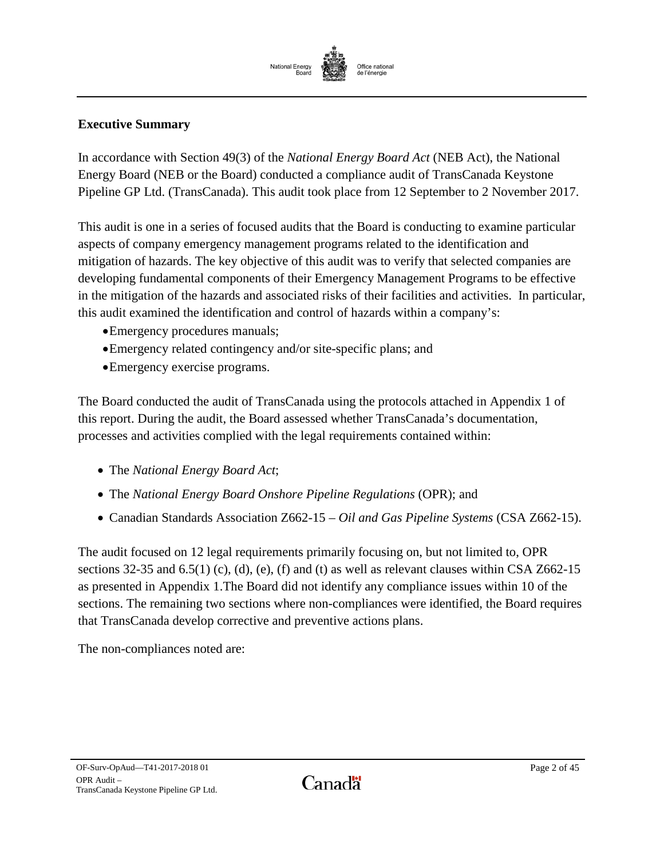

# <span id="page-3-0"></span>**Executive Summary**

In accordance with Section 49(3) of the *National Energy Board Act* (NEB Act), the National Energy Board (NEB or the Board) conducted a compliance audit of TransCanada Keystone Pipeline GP Ltd. (TransCanada). This audit took place from 12 September to 2 November 2017.

This audit is one in a series of focused audits that the Board is conducting to examine particular aspects of company emergency management programs related to the identification and mitigation of hazards. The key objective of this audit was to verify that selected companies are developing fundamental components of their Emergency Management Programs to be effective in the mitigation of the hazards and associated risks of their facilities and activities. In particular, this audit examined the identification and control of hazards within a company's:

- •Emergency procedures manuals;
- •Emergency related contingency and/or site-specific plans; and
- •Emergency exercise programs.

The Board conducted the audit of TransCanada using the protocols attached in Appendix 1 of this report. During the audit, the Board assessed whether TransCanada's documentation, processes and activities complied with the legal requirements contained within:

- The *National Energy Board Act*;
- The *National Energy Board Onshore Pipeline Regulations* (OPR); and
- Canadian Standards Association Z662-15 *Oil and Gas Pipeline Systems* (CSA Z662-15).

The audit focused on 12 legal requirements primarily focusing on, but not limited to, OPR sections 32-35 and 6.5(1) (c), (d), (e), (f) and (t) as well as relevant clauses within CSA Z662-15 as presented in Appendix 1.The Board did not identify any compliance issues within 10 of the sections. The remaining two sections where non-compliances were identified, the Board requires that TransCanada develop corrective and preventive actions plans.

The non-compliances noted are: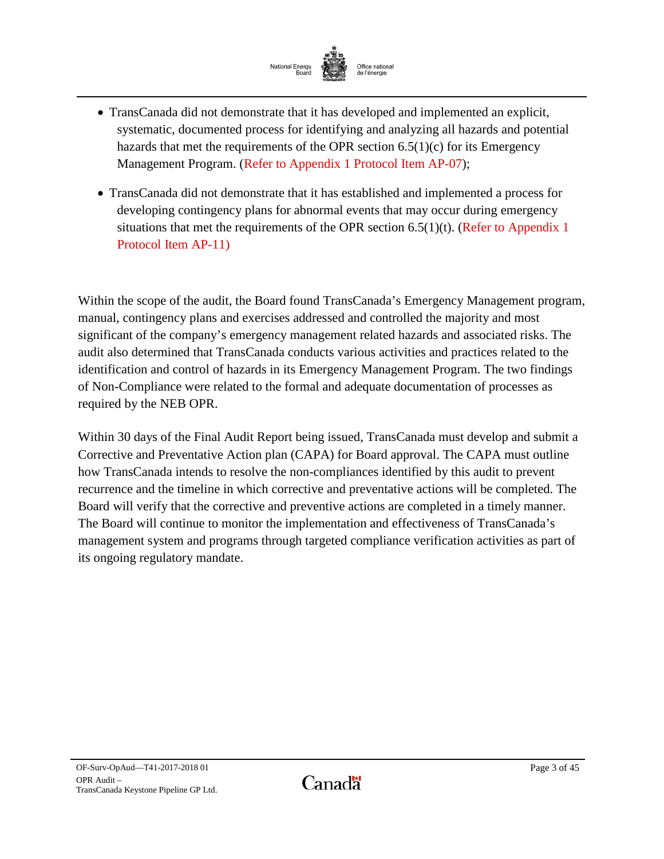

- TransCanada did not demonstrate that it has developed and implemented an explicit, systematic, documented process for identifying and analyzing all hazards and potential hazards that met the requirements of the OPR section 6.5(1)(c) for its Emergency Management Program. [\(Refer to Appendix 1 Protocol Item AP-07\)](#page-22-0);
- TransCanada did not demonstrate that it has established and implemented a process for developing contingency plans for abnormal events that may occur during emergency situations that met the requirements of the OPR section  $6.5(1)(t)$ . (Refer to Appendix 1) [Protocol Item AP-11\)](#page-28-0)

Within the scope of the audit, the Board found TransCanada's Emergency Management program, manual, contingency plans and exercises addressed and controlled the majority and most significant of the company's emergency management related hazards and associated risks. The audit also determined that TransCanada conducts various activities and practices related to the identification and control of hazards in its Emergency Management Program. The two findings of Non-Compliance were related to the formal and adequate documentation of processes as required by the NEB OPR.

Within 30 days of the Final Audit Report being issued, TransCanada must develop and submit a Corrective and Preventative Action plan (CAPA) for Board approval. The CAPA must outline how TransCanada intends to resolve the non-compliances identified by this audit to prevent recurrence and the timeline in which corrective and preventative actions will be completed. The Board will verify that the corrective and preventive actions are completed in a timely manner. The Board will continue to monitor the implementation and effectiveness of TransCanada's management system and programs through targeted compliance verification activities as part of its ongoing regulatory mandate.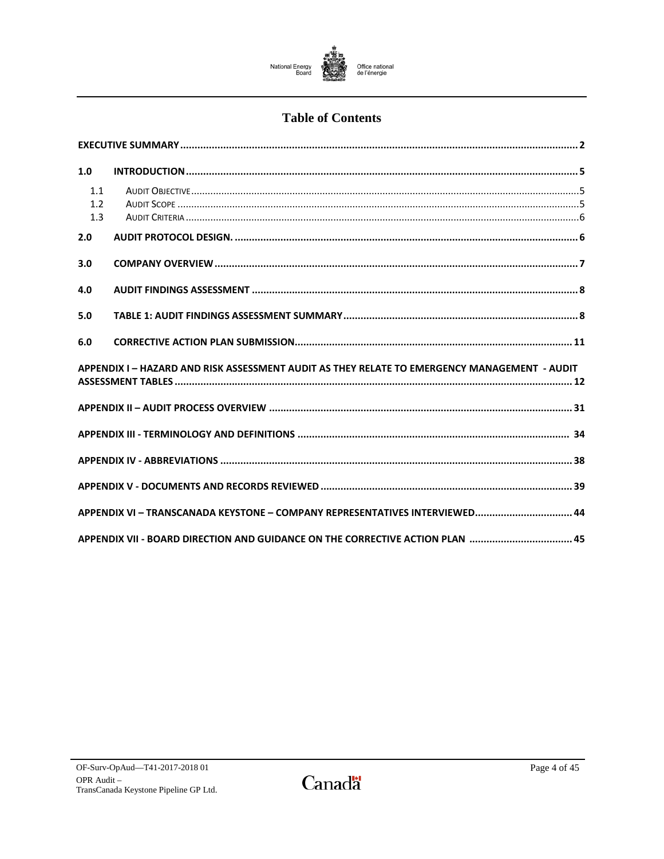

# **Table of Contents**

| 1.0                                                                                          |  |  |
|----------------------------------------------------------------------------------------------|--|--|
| 1.1<br>1.2<br>1.3                                                                            |  |  |
| 2.0                                                                                          |  |  |
| 3.0                                                                                          |  |  |
| 4.0                                                                                          |  |  |
| 5.0                                                                                          |  |  |
| 6.0                                                                                          |  |  |
| APPENDIX I - HAZARD AND RISK ASSESSMENT AUDIT AS THEY RELATE TO EMERGENCY MANAGEMENT - AUDIT |  |  |
|                                                                                              |  |  |
|                                                                                              |  |  |
|                                                                                              |  |  |
|                                                                                              |  |  |
| APPENDIX VI - TRANSCANADA KEYSTONE - COMPANY REPRESENTATIVES INTERVIEWED 44                  |  |  |
| APPENDIX VII - BOARD DIRECTION AND GUIDANCE ON THE CORRECTIVE ACTION PLAN 45                 |  |  |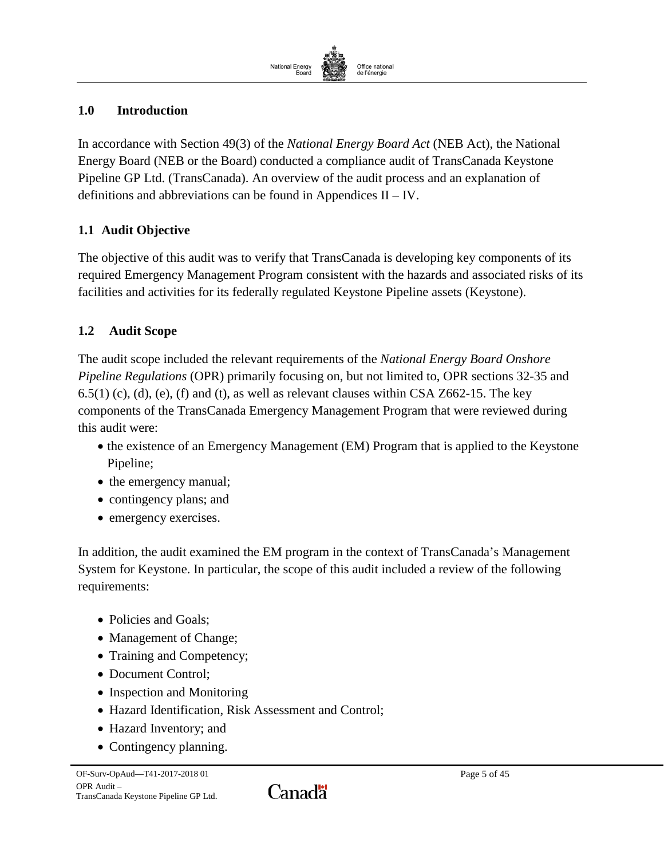

# <span id="page-6-0"></span>**1.0 Introduction**

In accordance with Section 49(3) of the *National Energy Board Act* (NEB Act), the National Energy Board (NEB or the Board) conducted a compliance audit of TransCanada Keystone Pipeline GP Ltd. (TransCanada). An overview of the audit process and an explanation of definitions and abbreviations can be found in Appendices II – IV.

# <span id="page-6-1"></span>**1.1 Audit Objective**

The objective of this audit was to verify that TransCanada is developing key components of its required Emergency Management Program consistent with the hazards and associated risks of its facilities and activities for its federally regulated Keystone Pipeline assets (Keystone).

# <span id="page-6-2"></span>**1.2 Audit Scope**

The audit scope included the relevant requirements of the *National Energy Board Onshore Pipeline Regulations* (OPR) primarily focusing on, but not limited to, OPR sections 32-35 and  $6.5(1)$  (c), (d), (e), (f) and (t), as well as relevant clauses within CSA Z662-15. The key components of the TransCanada Emergency Management Program that were reviewed during this audit were:

- the existence of an Emergency Management (EM) Program that is applied to the Keystone Pipeline;
- the emergency manual;
- contingency plans; and
- emergency exercises.

In addition, the audit examined the EM program in the context of TransCanada's Management System for Keystone. In particular, the scope of this audit included a review of the following requirements:

- Policies and Goals:
- Management of Change;
- Training and Competency;
- Document Control;
- Inspection and Monitoring
- Hazard Identification, Risk Assessment and Control;
- Hazard Inventory; and
- Contingency planning.

Canadä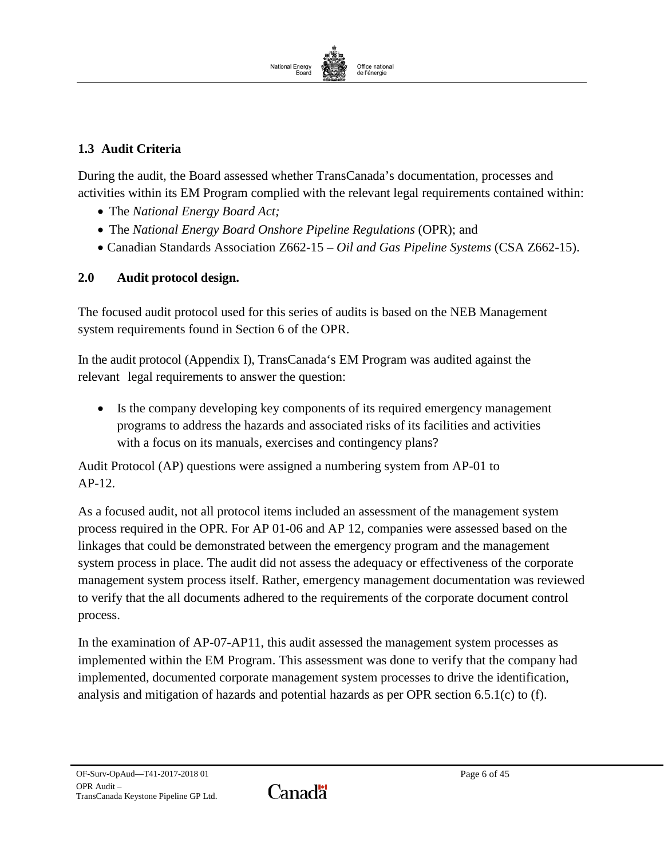

# <span id="page-7-0"></span>**1.3 Audit Criteria**

During the audit, the Board assessed whether TransCanada's documentation, processes and activities within its EM Program complied with the relevant legal requirements contained within:

- The *National Energy Board Act;*
- The *National Energy Board Onshore Pipeline Regulations* (OPR); and
- Canadian Standards Association Z662-15 *Oil and Gas Pipeline Systems* (CSA Z662-15).

# <span id="page-7-1"></span>**2.0 Audit protocol design.**

The focused audit protocol used for this series of audits is based on the NEB Management system requirements found in Section 6 of the OPR.

In the audit protocol (Appendix I), TransCanada's EM Program was audited against the relevant legal requirements to answer the question:

• Is the company developing key components of its required emergency management programs to address the hazards and associated risks of its facilities and activities with a focus on its manuals, exercises and contingency plans?

Audit Protocol (AP) questions were assigned a numbering system from AP-01 to AP-12.

As a focused audit, not all protocol items included an assessment of the management system process required in the OPR. For AP 01-06 and AP 12, companies were assessed based on the linkages that could be demonstrated between the emergency program and the management system process in place. The audit did not assess the adequacy or effectiveness of the corporate management system process itself. Rather, emergency management documentation was reviewed to verify that the all documents adhered to the requirements of the corporate document control process.

In the examination of AP-07-AP11, this audit assessed the management system processes as implemented within the EM Program. This assessment was done to verify that the company had implemented, documented corporate management system processes to drive the identification, analysis and mitigation of hazards and potential hazards as per OPR section 6.5.1(c) to (f).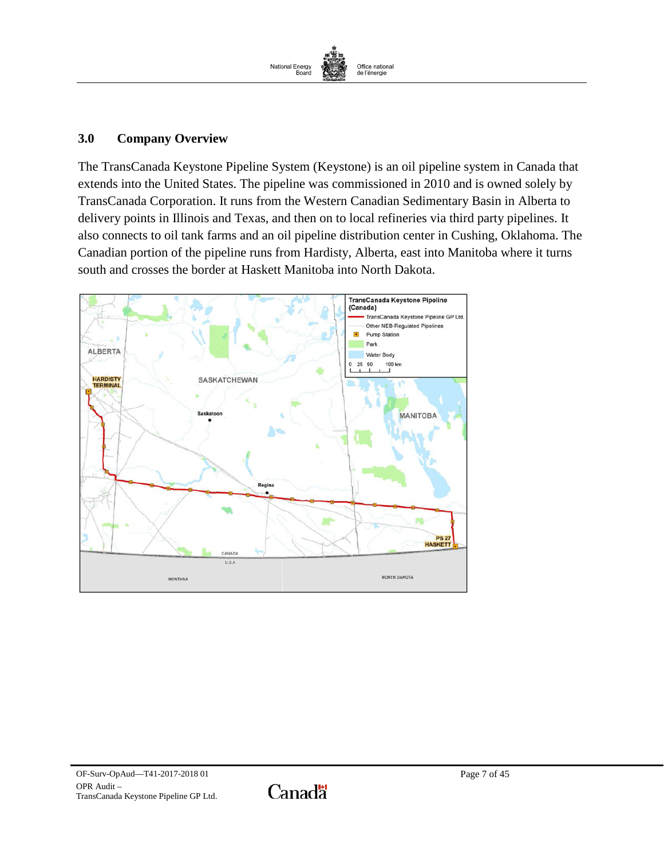

#### <span id="page-8-0"></span>**3.0 Company Overview**

The TransCanada Keystone Pipeline System (Keystone) is an oil pipeline system in Canada that extends into the United States. The pipeline was commissioned in 2010 and is owned solely by TransCanada Corporation. It runs from the Western Canadian Sedimentary Basin in Alberta to delivery points in Illinois and Texas, and then on to local refineries via third party pipelines. It also connects to oil tank farms and an oil pipeline distribution center in Cushing, Oklahoma. The Canadian portion of the pipeline runs from Hardisty, Alberta, east into Manitoba where it turns south and crosses the border at Haskett Manitoba into North Dakota.



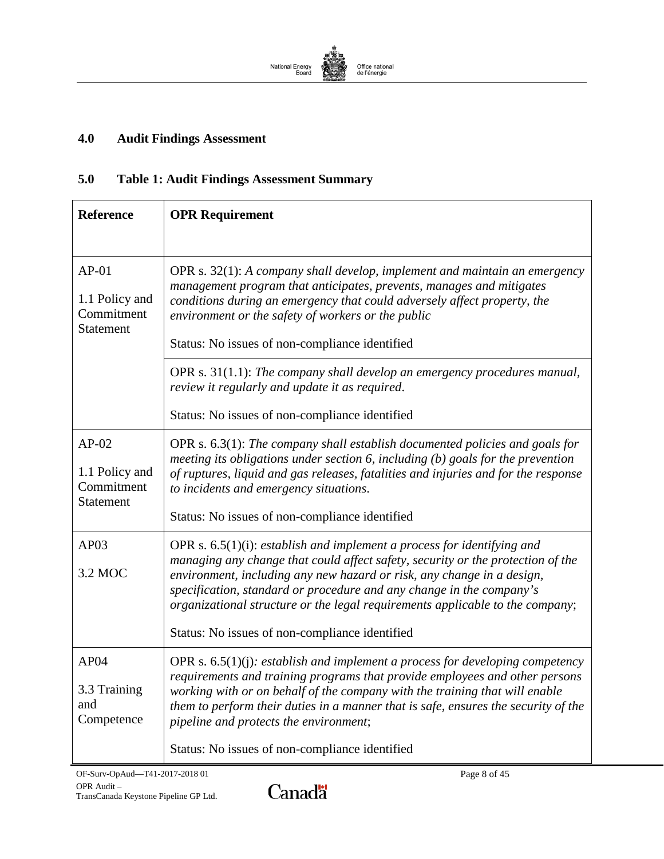

# <span id="page-9-0"></span>**4.0 Audit Findings Assessment**

# <span id="page-9-1"></span>**5.0 Table 1: Audit Findings Assessment Summary**

| <b>Reference</b>                                            | <b>OPR Requirement</b>                                                                                                                                                                                                                                                                                                                                                                                                                             |  |
|-------------------------------------------------------------|----------------------------------------------------------------------------------------------------------------------------------------------------------------------------------------------------------------------------------------------------------------------------------------------------------------------------------------------------------------------------------------------------------------------------------------------------|--|
| $AP-01$<br>1.1 Policy and<br>Commitment<br><b>Statement</b> | OPR s. $32(1)$ : A company shall develop, implement and maintain an emergency<br>management program that anticipates, prevents, manages and mitigates<br>conditions during an emergency that could adversely affect property, the<br>environment or the safety of workers or the public<br>Status: No issues of non-compliance identified                                                                                                          |  |
|                                                             | OPR s. $31(1.1)$ : The company shall develop an emergency procedures manual,<br>review it regularly and update it as required.<br>Status: No issues of non-compliance identified                                                                                                                                                                                                                                                                   |  |
| $AP-02$<br>1.1 Policy and<br>Commitment<br>Statement        | OPR $s. 6.3(1)$ : The company shall establish documented policies and goals for<br>meeting its obligations under section 6, including (b) goals for the prevention<br>of ruptures, liquid and gas releases, fatalities and injuries and for the response<br>to incidents and emergency situations.<br>Status: No issues of non-compliance identified                                                                                               |  |
| AP03<br>3.2 MOC                                             | OPR s. $6.5(1)(i)$ : establish and implement a process for identifying and<br>managing any change that could affect safety, security or the protection of the<br>environment, including any new hazard or risk, any change in a design,<br>specification, standard or procedure and any change in the company's<br>organizational structure or the legal requirements applicable to the company;<br>Status: No issues of non-compliance identified |  |
| AP04<br>3.3 Training<br>and<br>Competence                   | OPR s. $6.5(1)(j)$ : establish and implement a process for developing competency<br>requirements and training programs that provide employees and other persons<br>working with or on behalf of the company with the training that will enable<br>them to perform their duties in a manner that is safe, ensures the security of the<br>pipeline and protects the environment;<br>Status: No issues of non-compliance identified                   |  |

Canadä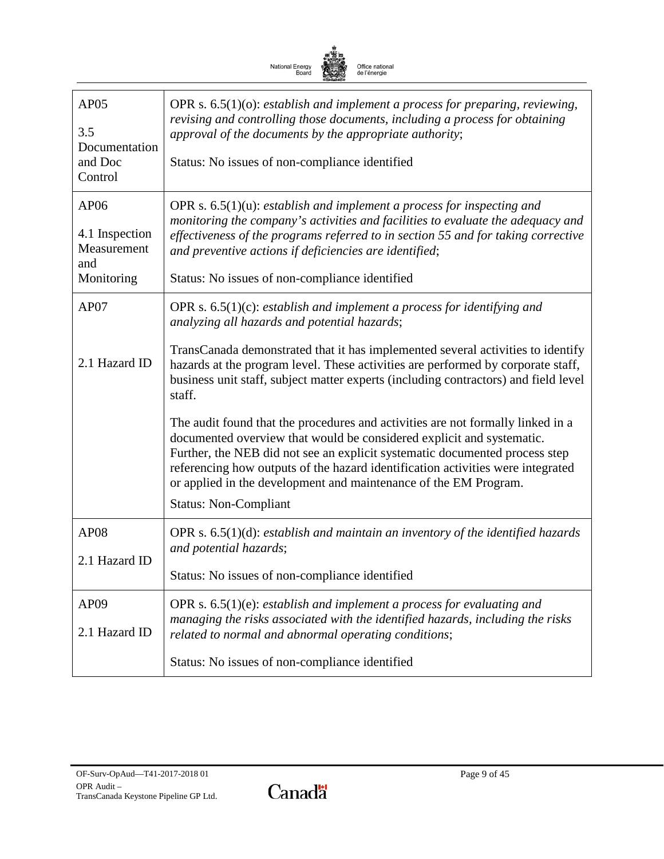

| AP05<br>3.5<br>Documentation<br>and Doc<br>Control         | OPR s. $6.5(1)(o)$ : establish and implement a process for preparing, reviewing,<br>revising and controlling those documents, including a process for obtaining<br>approval of the documents by the appropriate authority;<br>Status: No issues of non-compliance identified                                                                                                                                                   |
|------------------------------------------------------------|--------------------------------------------------------------------------------------------------------------------------------------------------------------------------------------------------------------------------------------------------------------------------------------------------------------------------------------------------------------------------------------------------------------------------------|
| AP06<br>4.1 Inspection<br>Measurement<br>and<br>Monitoring | OPR s. $6.5(1)(u)$ : establish and implement a process for inspecting and<br>monitoring the company's activities and facilities to evaluate the adequacy and<br>effectiveness of the programs referred to in section 55 and for taking corrective<br>and preventive actions if deficiencies are identified;<br>Status: No issues of non-compliance identified                                                                  |
| AP07                                                       | OPR s. $6.5(1)(c)$ : establish and implement a process for identifying and<br>analyzing all hazards and potential hazards;                                                                                                                                                                                                                                                                                                     |
| 2.1 Hazard ID                                              | TransCanada demonstrated that it has implemented several activities to identify<br>hazards at the program level. These activities are performed by corporate staff,<br>business unit staff, subject matter experts (including contractors) and field level<br>staff.                                                                                                                                                           |
|                                                            | The audit found that the procedures and activities are not formally linked in a<br>documented overview that would be considered explicit and systematic.<br>Further, the NEB did not see an explicit systematic documented process step<br>referencing how outputs of the hazard identification activities were integrated<br>or applied in the development and maintenance of the EM Program.<br><b>Status: Non-Compliant</b> |
| AP <sub>08</sub>                                           | OPR s. $6.5(1)(d)$ : establish and maintain an inventory of the identified hazards<br>and potential hazards;                                                                                                                                                                                                                                                                                                                   |
| 2.1 Hazard ID                                              | Status: No issues of non-compliance identified                                                                                                                                                                                                                                                                                                                                                                                 |
| AP <sub>09</sub><br>2.1 Hazard ID                          | OPR s. $6.5(1)(e)$ : establish and implement a process for evaluating and<br>managing the risks associated with the identified hazards, including the risks<br>related to normal and abnormal operating conditions;                                                                                                                                                                                                            |
|                                                            | Status: No issues of non-compliance identified                                                                                                                                                                                                                                                                                                                                                                                 |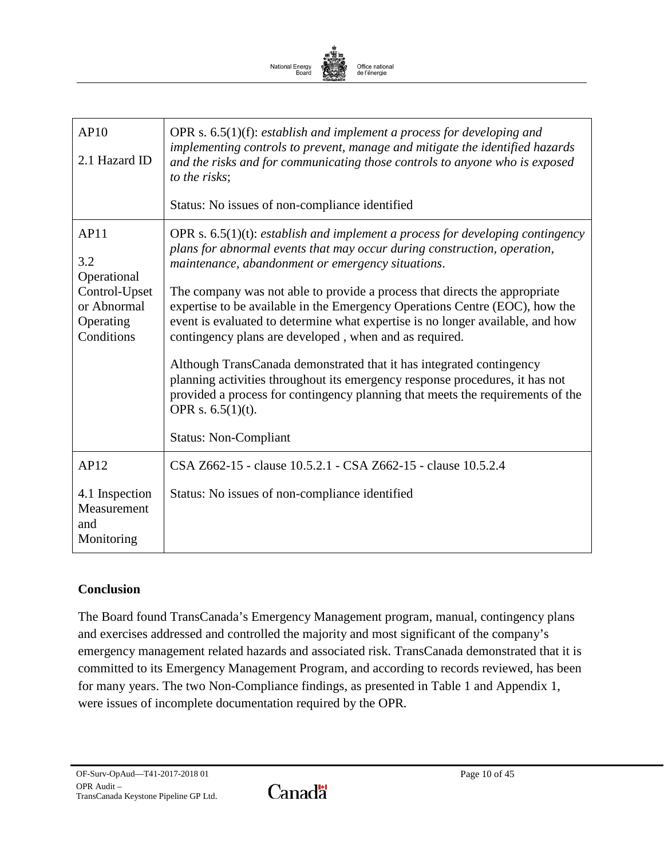

| AP10<br>2.1 Hazard ID                                   | OPR s. $6.5(1)(f)$ : establish and implement a process for developing and<br>implementing controls to prevent, manage and mitigate the identified hazards<br>and the risks and for communicating those controls to anyone who is exposed<br>to the risks;<br>Status: No issues of non-compliance identified |
|---------------------------------------------------------|-------------------------------------------------------------------------------------------------------------------------------------------------------------------------------------------------------------------------------------------------------------------------------------------------------------|
| AP11<br>3.2<br>Operational                              | OPR s. $6.5(1)(t)$ : establish and implement a process for developing contingency<br>plans for abnormal events that may occur during construction, operation,<br>maintenance, abandonment or emergency situations.                                                                                          |
| Control-Upset<br>or Abnormal<br>Operating<br>Conditions | The company was not able to provide a process that directs the appropriate<br>expertise to be available in the Emergency Operations Centre (EOC), how the<br>event is evaluated to determine what expertise is no longer available, and how<br>contingency plans are developed, when and as required.       |
|                                                         | Although TransCanada demonstrated that it has integrated contingency<br>planning activities throughout its emergency response procedures, it has not<br>provided a process for contingency planning that meets the requirements of the<br>OPR s. $6.5(1)(t)$ .                                              |
|                                                         | <b>Status: Non-Compliant</b>                                                                                                                                                                                                                                                                                |
| AP12                                                    | CSA Z662-15 - clause 10.5.2.1 - CSA Z662-15 - clause 10.5.2.4                                                                                                                                                                                                                                               |
| 4.1 Inspection<br>Measurement<br>and<br>Monitoring      | Status: No issues of non-compliance identified                                                                                                                                                                                                                                                              |

### **Conclusion**

The Board found TransCanada's Emergency Management program, manual, contingency plans and exercises addressed and controlled the majority and most significant of the company's emergency management related hazards and associated risk. TransCanada demonstrated that it is committed to its Emergency Management Program, and according to records reviewed, has been for many years. The two Non-Compliance findings, as presented in Table 1 and Appendix 1, were issues of incomplete documentation required by the OPR*.*

Canadä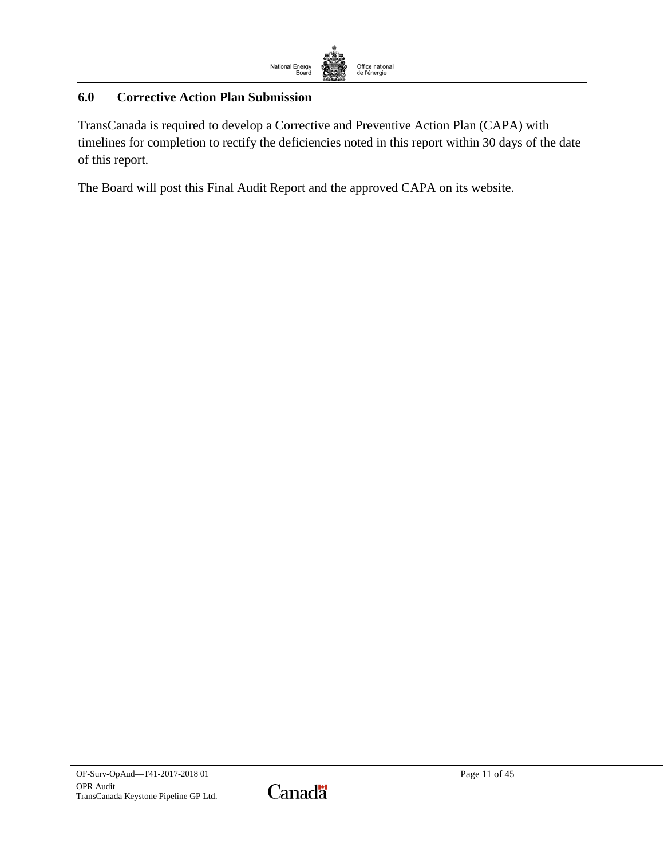

# <span id="page-12-0"></span>**6.0 Corrective Action Plan Submission**

TransCanada is required to develop a Corrective and Preventive Action Plan (CAPA) with timelines for completion to rectify the deficiencies noted in this report within 30 days of the date of this report.

The Board will post this Final Audit Report and the approved CAPA on its website.

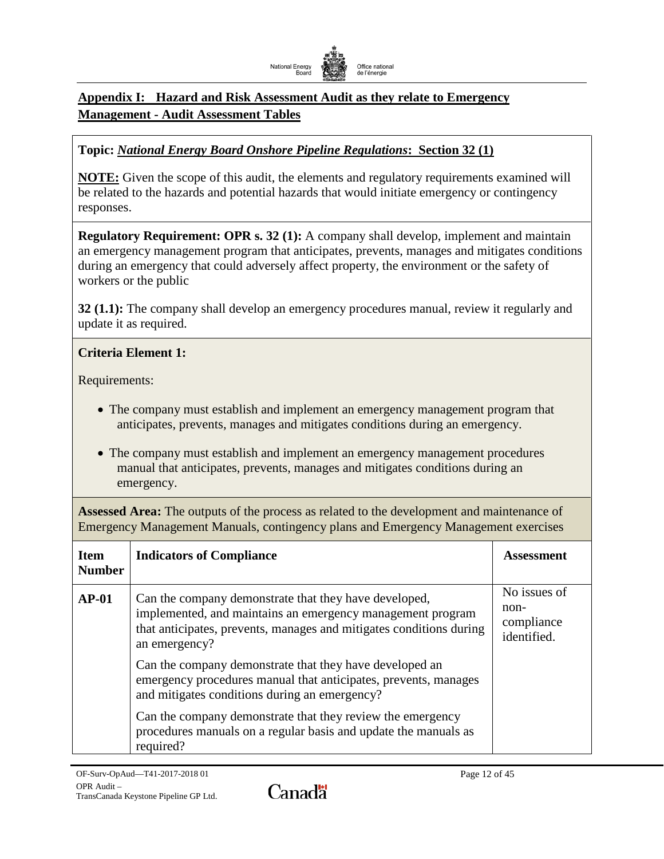

# <span id="page-13-0"></span>**Appendix I: Hazard and Risk Assessment Audit as they relate to Emergency Management - Audit Assessment Tables**

# **Topic:** *National Energy Board Onshore Pipeline Regulations***: Section 32 (1)**

**NOTE:** Given the scope of this audit, the elements and regulatory requirements examined will be related to the hazards and potential hazards that would initiate emergency or contingency responses.

**Regulatory Requirement: OPR s. 32 (1):** A company shall develop, implement and maintain an emergency management program that anticipates, prevents, manages and mitigates conditions during an emergency that could adversely affect property, the environment or the safety of workers or the public

**32 (1.1):** The company shall develop an emergency procedures manual, review it regularly and update it as required.

### **Criteria Element 1:**

Requirements:

- The company must establish and implement an emergency management program that anticipates, prevents, manages and mitigates conditions during an emergency.
- The company must establish and implement an emergency management procedures manual that anticipates, prevents, manages and mitigates conditions during an emergency.

**Assessed Area:** The outputs of the process as related to the development and maintenance of Emergency Management Manuals, contingency plans and Emergency Management exercises

| <b>Item</b><br><b>Number</b> | <b>Indicators of Compliance</b>                                                                                                                                                                             | <b>Assessment</b>                                 |
|------------------------------|-------------------------------------------------------------------------------------------------------------------------------------------------------------------------------------------------------------|---------------------------------------------------|
| $AP-01$                      | Can the company demonstrate that they have developed,<br>implemented, and maintains an emergency management program<br>that anticipates, prevents, manages and mitigates conditions during<br>an emergency? | No issues of<br>non-<br>compliance<br>identified. |
|                              | Can the company demonstrate that they have developed an<br>emergency procedures manual that anticipates, prevents, manages<br>and mitigates conditions during an emergency?                                 |                                                   |
|                              | Can the company demonstrate that they review the emergency<br>procedures manuals on a regular basis and update the manuals as<br>required?                                                                  |                                                   |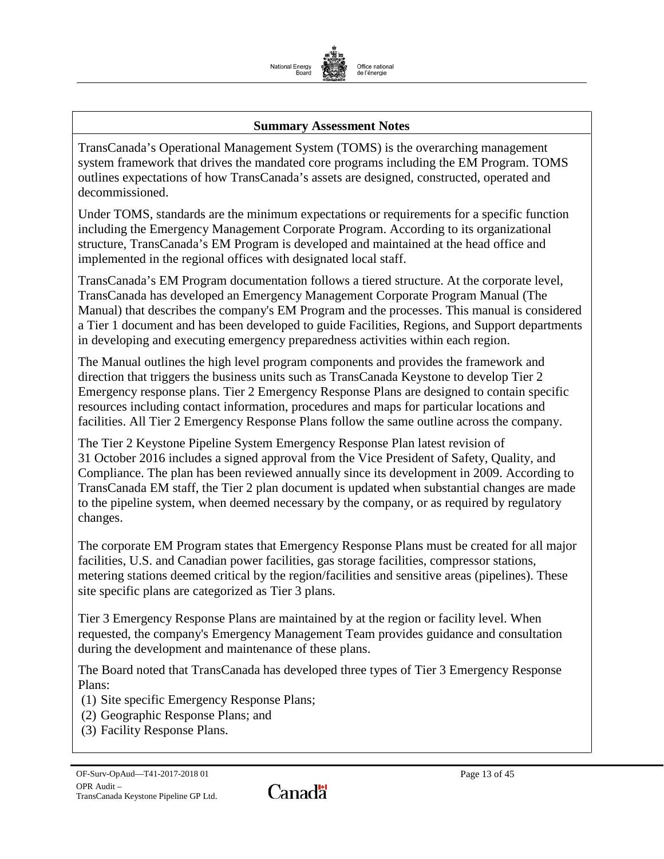

#### **Summary Assessment Notes**

TransCanada's Operational Management System (TOMS) is the overarching management system framework that drives the mandated core programs including the EM Program. TOMS outlines expectations of how TransCanada's assets are designed, constructed, operated and decommissioned.

Under TOMS, standards are the minimum expectations or requirements for a specific function including the Emergency Management Corporate Program. According to its organizational structure, TransCanada's EM Program is developed and maintained at the head office and implemented in the regional offices with designated local staff.

TransCanada's EM Program documentation follows a tiered structure. At the corporate level, TransCanada has developed an Emergency Management Corporate Program Manual (The Manual) that describes the company's EM Program and the processes. This manual is considered a Tier 1 document and has been developed to guide Facilities, Regions, and Support departments in developing and executing emergency preparedness activities within each region.

The Manual outlines the high level program components and provides the framework and direction that triggers the business units such as TransCanada Keystone to develop Tier 2 Emergency response plans. Tier 2 Emergency Response Plans are designed to contain specific resources including contact information, procedures and maps for particular locations and facilities. All Tier 2 Emergency Response Plans follow the same outline across the company.

The Tier 2 Keystone Pipeline System Emergency Response Plan latest revision of 31 October 2016 includes a signed approval from the Vice President of Safety, Quality, and Compliance. The plan has been reviewed annually since its development in 2009. According to TransCanada EM staff, the Tier 2 plan document is updated when substantial changes are made to the pipeline system, when deemed necessary by the company, or as required by regulatory changes.

The corporate EM Program states that Emergency Response Plans must be created for all major facilities, U.S. and Canadian power facilities, gas storage facilities, compressor stations, metering stations deemed critical by the region/facilities and sensitive areas (pipelines). These site specific plans are categorized as Tier 3 plans.

Tier 3 Emergency Response Plans are maintained by at the region or facility level. When requested, the company's Emergency Management Team provides guidance and consultation during the development and maintenance of these plans.

The Board noted that TransCanada has developed three types of Tier 3 Emergency Response Plans:

(1) Site specific Emergency Response Plans;

- (2) Geographic Response Plans; and
- (3) Facility Response Plans.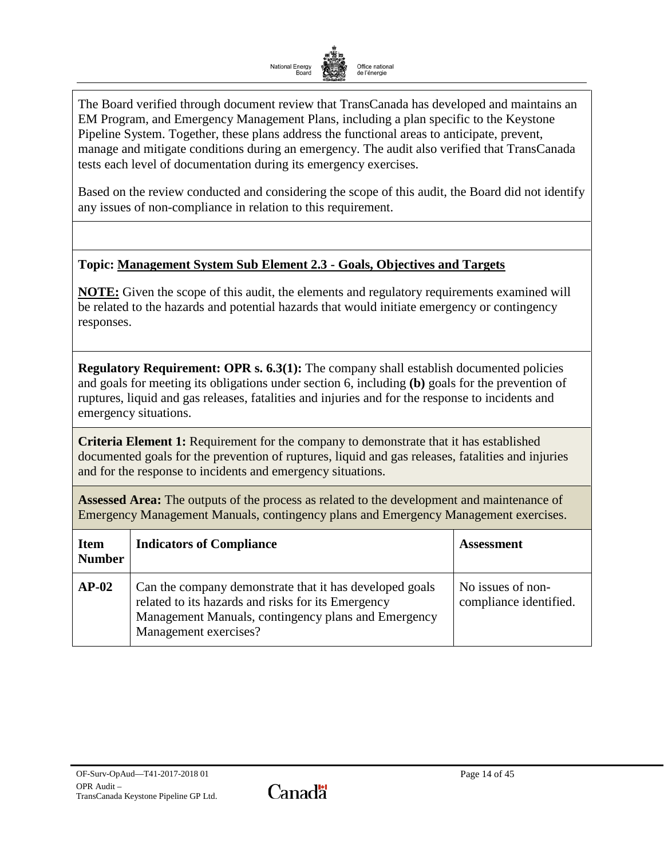

The Board verified through document review that TransCanada has developed and maintains an EM Program, and Emergency Management Plans, including a plan specific to the Keystone Pipeline System. Together, these plans address the functional areas to anticipate, prevent, manage and mitigate conditions during an emergency. The audit also verified that TransCanada tests each level of documentation during its emergency exercises.

Based on the review conducted and considering the scope of this audit, the Board did not identify any issues of non-compliance in relation to this requirement.

### **Topic: Management System Sub Element 2.3 - Goals, Objectives and Targets**

**NOTE:** Given the scope of this audit, the elements and regulatory requirements examined will be related to the hazards and potential hazards that would initiate emergency or contingency responses.

**Regulatory Requirement: OPR s. 6.3(1):** The company shall establish documented policies and goals for meeting its obligations under section 6, including **(b)** goals for the prevention of ruptures, liquid and gas releases, fatalities and injuries and for the response to incidents and emergency situations.

**Criteria Element 1:** Requirement for the company to demonstrate that it has established documented goals for the prevention of ruptures, liquid and gas releases, fatalities and injuries and for the response to incidents and emergency situations.

**Assessed Area:** The outputs of the process as related to the development and maintenance of Emergency Management Manuals, contingency plans and Emergency Management exercises.

| <b>Item</b><br><b>Number</b> | <b>Indicators of Compliance</b>                                                                                                                                                               | <b>Assessment</b>                           |
|------------------------------|-----------------------------------------------------------------------------------------------------------------------------------------------------------------------------------------------|---------------------------------------------|
| $AP-02$                      | Can the company demonstrate that it has developed goals<br>related to its hazards and risks for its Emergency<br>Management Manuals, contingency plans and Emergency<br>Management exercises? | No issues of non-<br>compliance identified. |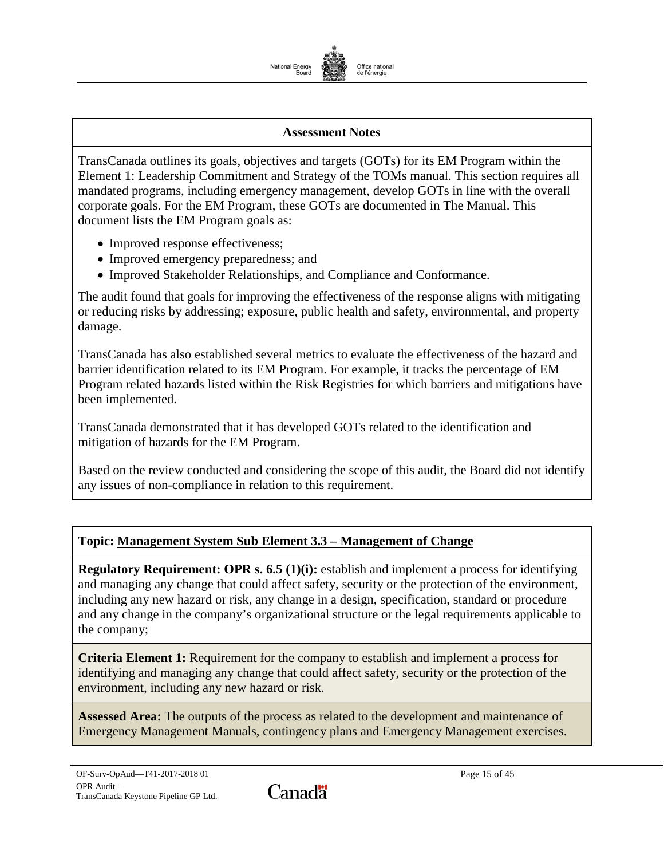

#### **Assessment Notes**

TransCanada outlines its goals, objectives and targets (GOTs) for its EM Program within the Element 1: Leadership Commitment and Strategy of the TOMs manual. This section requires all mandated programs, including emergency management, develop GOTs in line with the overall corporate goals. For the EM Program, these GOTs are documented in The Manual. This document lists the EM Program goals as:

- Improved response effectiveness;
- Improved emergency preparedness; and
- Improved Stakeholder Relationships, and Compliance and Conformance.

The audit found that goals for improving the effectiveness of the response aligns with mitigating or reducing risks by addressing; exposure, public health and safety, environmental, and property damage.

TransCanada has also established several metrics to evaluate the effectiveness of the hazard and barrier identification related to its EM Program. For example, it tracks the percentage of EM Program related hazards listed within the Risk Registries for which barriers and mitigations have been implemented.

TransCanada demonstrated that it has developed GOTs related to the identification and mitigation of hazards for the EM Program.

Based on the review conducted and considering the scope of this audit, the Board did not identify any issues of non-compliance in relation to this requirement.

### **Topic: Management System Sub Element 3.3 – Management of Change**

**Regulatory Requirement: OPR s. 6.5 (1)(i):** establish and implement a process for identifying and managing any change that could affect safety, security or the protection of the environment, including any new hazard or risk, any change in a design, specification, standard or procedure and any change in the company's organizational structure or the legal requirements applicable to the company;

**Criteria Element 1:** Requirement for the company to establish and implement a process for identifying and managing any change that could affect safety, security or the protection of the environment, including any new hazard or risk.

**Assessed Area:** The outputs of the process as related to the development and maintenance of Emergency Management Manuals, contingency plans and Emergency Management exercises.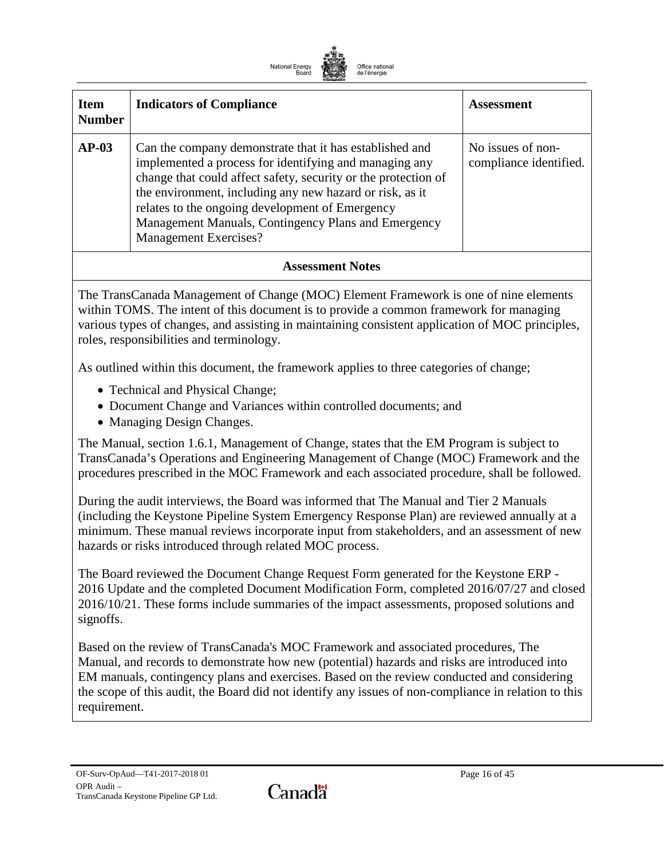

| <b>Item</b><br><b>Number</b> | <b>Indicators of Compliance</b>                                                                                                                                                                                                                                                                                                                                                           | <b>Assessment</b>                           |
|------------------------------|-------------------------------------------------------------------------------------------------------------------------------------------------------------------------------------------------------------------------------------------------------------------------------------------------------------------------------------------------------------------------------------------|---------------------------------------------|
| $AP-03$                      | Can the company demonstrate that it has established and<br>implemented a process for identifying and managing any<br>change that could affect safety, security or the protection of<br>the environment, including any new hazard or risk, as it<br>relates to the ongoing development of Emergency<br>Management Manuals, Contingency Plans and Emergency<br><b>Management Exercises?</b> | No issues of non-<br>compliance identified. |

#### **Assessment Notes**

The TransCanada Management of Change (MOC) Element Framework is one of nine elements within TOMS. The intent of this document is to provide a common framework for managing various types of changes, and assisting in maintaining consistent application of MOC principles, roles, responsibilities and terminology.

As outlined within this document, the framework applies to three categories of change;

- Technical and Physical Change;
- Document Change and Variances within controlled documents; and
- Managing Design Changes.

The Manual, section 1.6.1, Management of Change, states that the EM Program is subject to TransCanada's Operations and Engineering Management of Change (MOC) Framework and the procedures prescribed in the MOC Framework and each associated procedure, shall be followed.

During the audit interviews, the Board was informed that The Manual and Tier 2 Manuals (including the Keystone Pipeline System Emergency Response Plan) are reviewed annually at a minimum. These manual reviews incorporate input from stakeholders, and an assessment of new hazards or risks introduced through related MOC process.

The Board reviewed the Document Change Request Form generated for the Keystone ERP - 2016 Update and the completed Document Modification Form, completed 2016/07/27 and closed 2016/10/21. These forms include summaries of the impact assessments, proposed solutions and signoffs.

Based on the review of TransCanada's MOC Framework and associated procedures, The Manual, and records to demonstrate how new (potential) hazards and risks are introduced into EM manuals, contingency plans and exercises. Based on the review conducted and considering the scope of this audit, the Board did not identify any issues of non-compliance in relation to this requirement.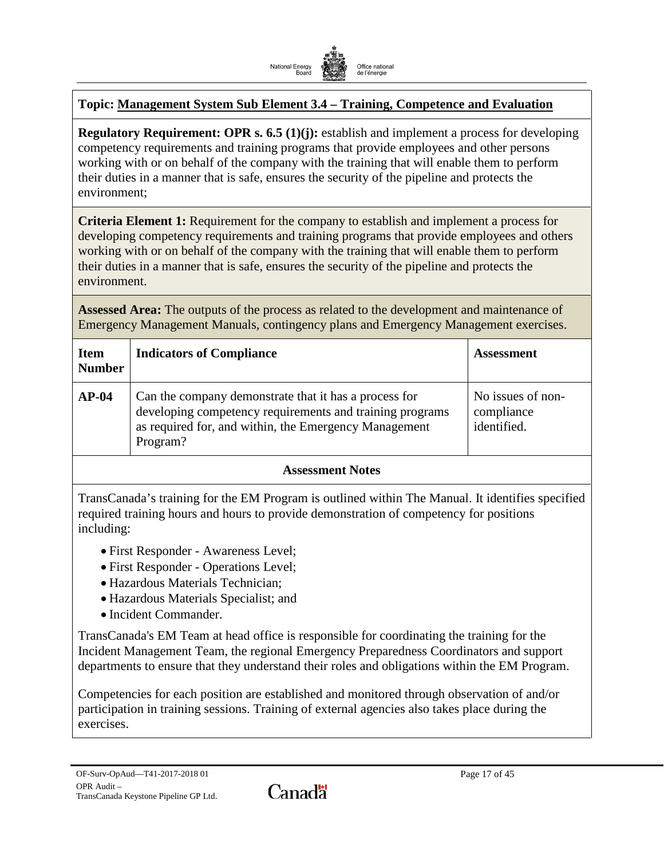

# **Topic: Management System Sub Element 3.4 – Training, Competence and Evaluation**

**Regulatory Requirement: OPR s. 6.5 (1)(j):** establish and implement a process for developing competency requirements and training programs that provide employees and other persons working with or on behalf of the company with the training that will enable them to perform their duties in a manner that is safe, ensures the security of the pipeline and protects the environment;

**Criteria Element 1:** Requirement for the company to establish and implement a process for developing competency requirements and training programs that provide employees and others working with or on behalf of the company with the training that will enable them to perform their duties in a manner that is safe, ensures the security of the pipeline and protects the environment.

**Assessed Area:** The outputs of the process as related to the development and maintenance of Emergency Management Manuals, contingency plans and Emergency Management exercises.

| <b>Item</b><br><b>Number</b> | <b>Indicators of Compliance</b>                                                                                                                                                        | <b>Assessment</b>                              |
|------------------------------|----------------------------------------------------------------------------------------------------------------------------------------------------------------------------------------|------------------------------------------------|
| $AP-04$                      | Can the company demonstrate that it has a process for<br>developing competency requirements and training programs<br>as required for, and within, the Emergency Management<br>Program? | No issues of non-<br>compliance<br>identified. |
|                              |                                                                                                                                                                                        |                                                |

#### **Assessment Notes**

TransCanada's training for the EM Program is outlined within The Manual. It identifies specified required training hours and hours to provide demonstration of competency for positions including:

- First Responder Awareness Level;
- First Responder Operations Level;
- Hazardous Materials Technician;
- Hazardous Materials Specialist; and
- Incident Commander.

TransCanada's EM Team at head office is responsible for coordinating the training for the Incident Management Team, the regional Emergency Preparedness Coordinators and support departments to ensure that they understand their roles and obligations within the EM Program.

Competencies for each position are established and monitored through observation of and/or participation in training sessions. Training of external agencies also takes place during the exercises.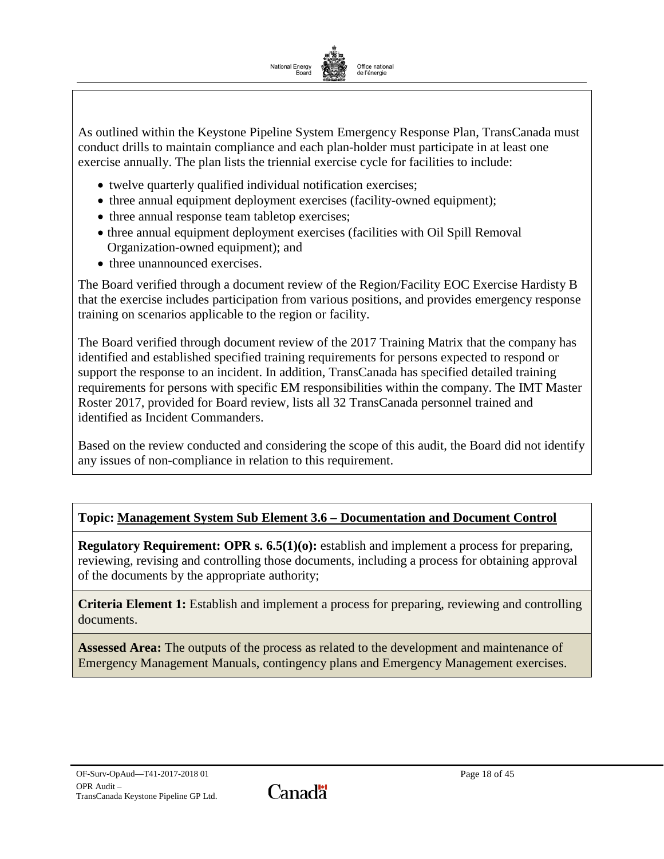

As outlined within the Keystone Pipeline System Emergency Response Plan, TransCanada must conduct drills to maintain compliance and each plan-holder must participate in at least one exercise annually. The plan lists the triennial exercise cycle for facilities to include:

- twelve quarterly qualified individual notification exercises;
- three annual equipment deployment exercises (facility-owned equipment);
- three annual response team tabletop exercises;
- three annual equipment deployment exercises (facilities with Oil Spill Removal Organization-owned equipment); and
- three unannounced exercises.

The Board verified through a document review of the Region/Facility EOC Exercise Hardisty B that the exercise includes participation from various positions, and provides emergency response training on scenarios applicable to the region or facility.

The Board verified through document review of the 2017 Training Matrix that the company has identified and established specified training requirements for persons expected to respond or support the response to an incident. In addition, TransCanada has specified detailed training requirements for persons with specific EM responsibilities within the company. The IMT Master Roster 2017, provided for Board review, lists all 32 TransCanada personnel trained and identified as Incident Commanders.

Based on the review conducted and considering the scope of this audit, the Board did not identify any issues of non-compliance in relation to this requirement.

# **Topic: Management System Sub Element 3.6 – Documentation and Document Control**

**Regulatory Requirement: OPR s. 6.5(1)(o):** establish and implement a process for preparing, reviewing, revising and controlling those documents, including a process for obtaining approval of the documents by the appropriate authority;

**Criteria Element 1:** Establish and implement a process for preparing, reviewing and controlling documents.

**Assessed Area:** The outputs of the process as related to the development and maintenance of Emergency Management Manuals, contingency plans and Emergency Management exercises.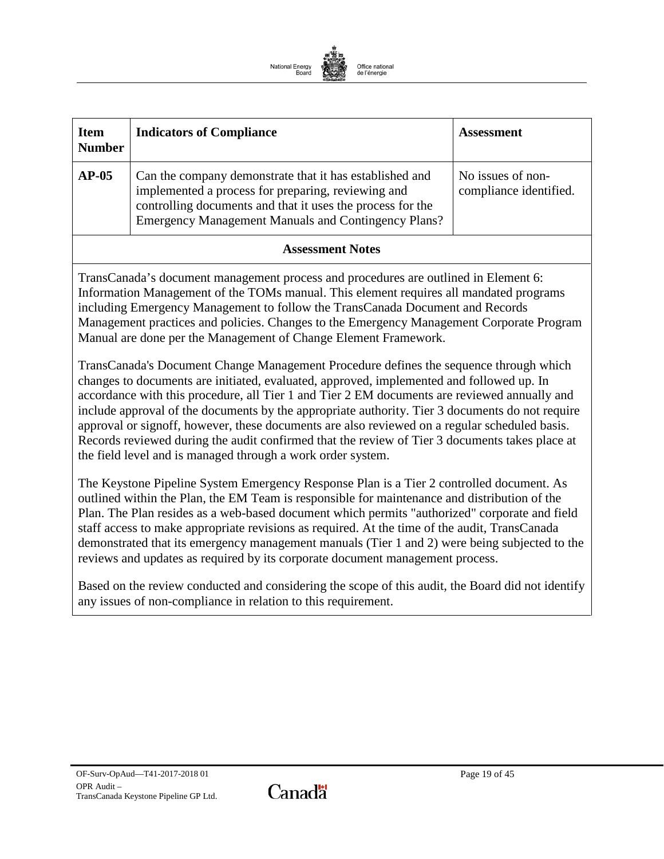

| <b>Item</b><br><b>Number</b>                                                                                                                                                                                                                                                                                                                                                                                                                                                                                                                                                                                                                                                                                                                                                                                                                                                                                                                                                                                                                                                            | <b>Indicators of Compliance</b>                                                                                                                                                                                                           | <b>Assessment</b>                           |
|-----------------------------------------------------------------------------------------------------------------------------------------------------------------------------------------------------------------------------------------------------------------------------------------------------------------------------------------------------------------------------------------------------------------------------------------------------------------------------------------------------------------------------------------------------------------------------------------------------------------------------------------------------------------------------------------------------------------------------------------------------------------------------------------------------------------------------------------------------------------------------------------------------------------------------------------------------------------------------------------------------------------------------------------------------------------------------------------|-------------------------------------------------------------------------------------------------------------------------------------------------------------------------------------------------------------------------------------------|---------------------------------------------|
| $AP-05$                                                                                                                                                                                                                                                                                                                                                                                                                                                                                                                                                                                                                                                                                                                                                                                                                                                                                                                                                                                                                                                                                 | Can the company demonstrate that it has established and<br>implemented a process for preparing, reviewing and<br>controlling documents and that it uses the process for the<br><b>Emergency Management Manuals and Contingency Plans?</b> | No issues of non-<br>compliance identified. |
|                                                                                                                                                                                                                                                                                                                                                                                                                                                                                                                                                                                                                                                                                                                                                                                                                                                                                                                                                                                                                                                                                         | <b>Assessment Notes</b>                                                                                                                                                                                                                   |                                             |
| TransCanada's document management process and procedures are outlined in Element 6:<br>Information Management of the TOMs manual. This element requires all mandated programs<br>including Emergency Management to follow the TransCanada Document and Records<br>Management practices and policies. Changes to the Emergency Management Corporate Program<br>Manual are done per the Management of Change Element Framework.<br>TransCanada's Document Change Management Procedure defines the sequence through which<br>changes to documents are initiated, evaluated, approved, implemented and followed up. In<br>accordance with this procedure, all Tier 1 and Tier 2 EM documents are reviewed annually and<br>include approval of the documents by the appropriate authority. Tier 3 documents do not require<br>approval or signoff, however, these documents are also reviewed on a regular scheduled basis.<br>Records reviewed during the audit confirmed that the review of Tier 3 documents takes place at<br>the field level and is managed through a work order system. |                                                                                                                                                                                                                                           |                                             |
| The Keystone Pipeline System Emergency Response Plan is a Tier 2 controlled document. As<br>outlined within the Plan, the EM Team is responsible for maintenance and distribution of the<br>Plan. The Plan resides as a web-based document which permits "authorized" corporate and field<br>staff access to make appropriate revisions as required. At the time of the audit, TransCanada<br>demonstrated that its emergency management manuals (Tier 1 and 2) were being subjected to the<br>reviews and updates as required by its corporate document management process.                                                                                                                                                                                                                                                                                                                                                                                                                                                                                                            |                                                                                                                                                                                                                                           |                                             |

Based on the review conducted and considering the scope of this audit, the Board did not identify any issues of non-compliance in relation to this requirement.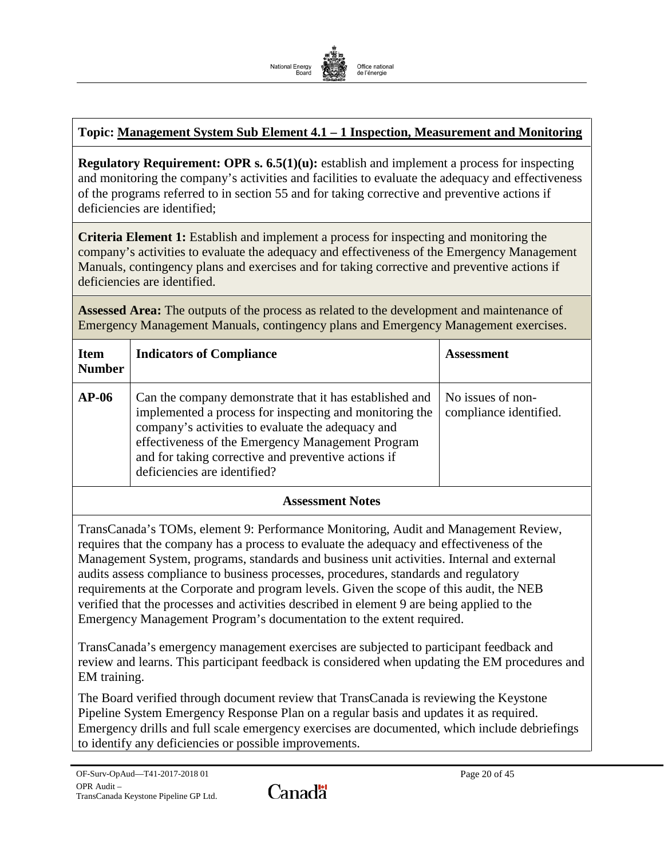

# **Topic: Management System Sub Element 4.1 – 1 Inspection, Measurement and Monitoring**

**Regulatory Requirement: OPR s. 6.5(1)(u):** establish and implement a process for inspecting and monitoring the company's activities and facilities to evaluate the adequacy and effectiveness of the programs referred to in section 55 and for taking corrective and preventive actions if deficiencies are identified;

**Criteria Element 1:** Establish and implement a process for inspecting and monitoring the company's activities to evaluate the adequacy and effectiveness of the Emergency Management Manuals, contingency plans and exercises and for taking corrective and preventive actions if deficiencies are identified.

**Assessed Area:** The outputs of the process as related to the development and maintenance of Emergency Management Manuals, contingency plans and Emergency Management exercises.

| <b>Item</b><br><b>Number</b> | <b>Indicators of Compliance</b>                                                                                                                                                                                                                                                                                     | <b>Assessment</b>                           |
|------------------------------|---------------------------------------------------------------------------------------------------------------------------------------------------------------------------------------------------------------------------------------------------------------------------------------------------------------------|---------------------------------------------|
| $AP-06$                      | Can the company demonstrate that it has established and<br>implemented a process for inspecting and monitoring the<br>company's activities to evaluate the adequacy and<br>effectiveness of the Emergency Management Program<br>and for taking corrective and preventive actions if<br>deficiencies are identified? | No issues of non-<br>compliance identified. |

#### **Assessment Notes**

TransCanada's TOMs, element 9: Performance Monitoring, Audit and Management Review, requires that the company has a process to evaluate the adequacy and effectiveness of the Management System, programs, standards and business unit activities. Internal and external audits assess compliance to business processes, procedures, standards and regulatory requirements at the Corporate and program levels. Given the scope of this audit, the NEB verified that the processes and activities described in element 9 are being applied to the Emergency Management Program's documentation to the extent required.

TransCanada's emergency management exercises are subjected to participant feedback and review and learns. This participant feedback is considered when updating the EM procedures and EM training.

The Board verified through document review that TransCanada is reviewing the Keystone Pipeline System Emergency Response Plan on a regular basis and updates it as required. Emergency drills and full scale emergency exercises are documented, which include debriefings to identify any deficiencies or possible improvements.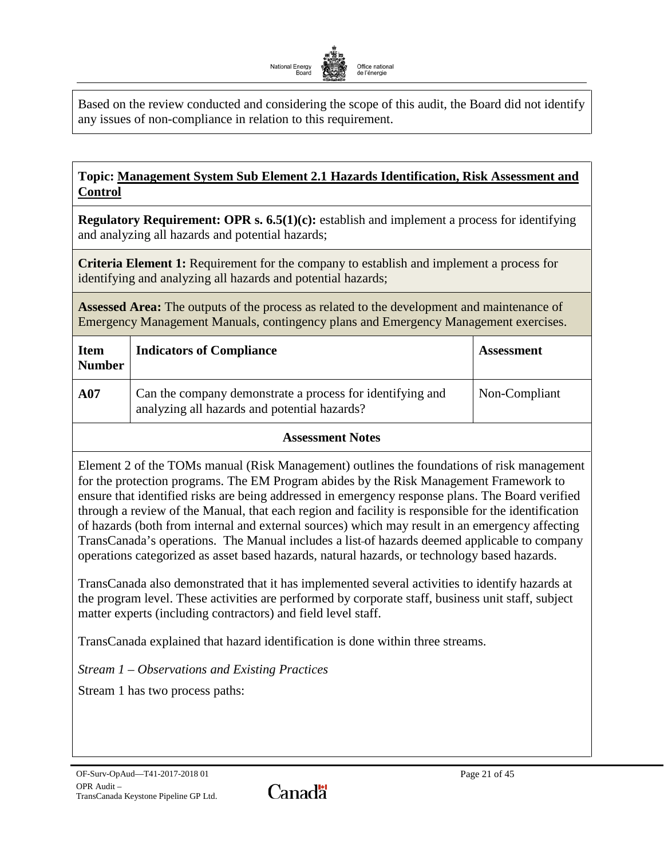

Based on the review conducted and considering the scope of this audit, the Board did not identify any issues of non-compliance in relation to this requirement.

# <span id="page-22-0"></span>**Topic: Management System Sub Element 2.1 Hazards Identification, Risk Assessment and Control**

**Regulatory Requirement: OPR s. 6.5(1)(c):** establish and implement a process for identifying and analyzing all hazards and potential hazards;

**Criteria Element 1:** Requirement for the company to establish and implement a process for identifying and analyzing all hazards and potential hazards;

**Assessed Area:** The outputs of the process as related to the development and maintenance of Emergency Management Manuals, contingency plans and Emergency Management exercises.

| <b>Item</b><br><b>Number</b> | <b>Indicators of Compliance</b>                                                                           | <b>Assessment</b> |
|------------------------------|-----------------------------------------------------------------------------------------------------------|-------------------|
| A07                          | Can the company demonstrate a process for identifying and<br>analyzing all hazards and potential hazards? | Non-Compliant     |

### **Assessment Notes**

Element 2 of the TOMs manual (Risk Management) outlines the foundations of risk management for the protection programs. The EM Program abides by the Risk Management Framework to ensure that identified risks are being addressed in emergency response plans. The Board verified through a review of the Manual, that each region and facility is responsible for the identification of hazards (both from internal and external sources) which may result in an emergency affecting TransCanada's operations. The Manual includes a list of hazards deemed applicable to company operations categorized as asset based hazards, natural hazards, or technology based hazards.

TransCanada also demonstrated that it has implemented several activities to identify hazards at the program level. These activities are performed by corporate staff, business unit staff, subject matter experts (including contractors) and field level staff.

TransCanada explained that hazard identification is done within three streams.

*Stream 1 – Observations and Existing Practices* 

Stream 1 has two process paths:

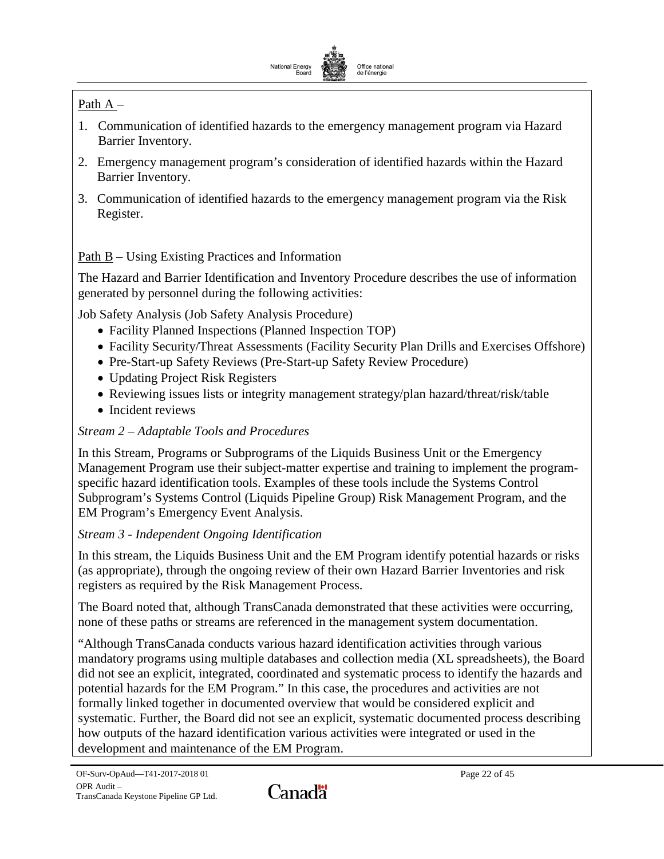

# Path A –

- 1. Communication of identified hazards to the emergency management program via Hazard Barrier Inventory.
- 2. Emergency management program's consideration of identified hazards within the Hazard Barrier Inventory.
- 3. Communication of identified hazards to the emergency management program via the Risk Register.

# Path B – Using Existing Practices and Information

The Hazard and Barrier Identification and Inventory Procedure describes the use of information generated by personnel during the following activities:

Job Safety Analysis (Job Safety Analysis Procedure)

- Facility Planned Inspections (Planned Inspection TOP)
- Facility Security/Threat Assessments (Facility Security Plan Drills and Exercises Offshore)
- Pre-Start-up Safety Reviews (Pre-Start-up Safety Review Procedure)
- Updating Project Risk Registers
- Reviewing issues lists or integrity management strategy/plan hazard/threat/risk/table
- Incident reviews

# *Stream 2 – Adaptable Tools and Procedures*

In this Stream, Programs or Subprograms of the Liquids Business Unit or the Emergency Management Program use their subject-matter expertise and training to implement the programspecific hazard identification tools. Examples of these tools include the Systems Control Subprogram's Systems Control (Liquids Pipeline Group) Risk Management Program, and the EM Program's Emergency Event Analysis.

# *Stream 3 - Independent Ongoing Identification*

In this stream, the Liquids Business Unit and the EM Program identify potential hazards or risks (as appropriate), through the ongoing review of their own Hazard Barrier Inventories and risk registers as required by the Risk Management Process.

The Board noted that, although TransCanada demonstrated that these activities were occurring, none of these paths or streams are referenced in the management system documentation.

"Although TransCanada conducts various hazard identification activities through various mandatory programs using multiple databases and collection media (XL spreadsheets), the Board did not see an explicit, integrated, coordinated and systematic process to identify the hazards and potential hazards for the EM Program." In this case, the procedures and activities are not formally linked together in documented overview that would be considered explicit and systematic. Further, the Board did not see an explicit, systematic documented process describing how outputs of the hazard identification various activities were integrated or used in the development and maintenance of the EM Program.

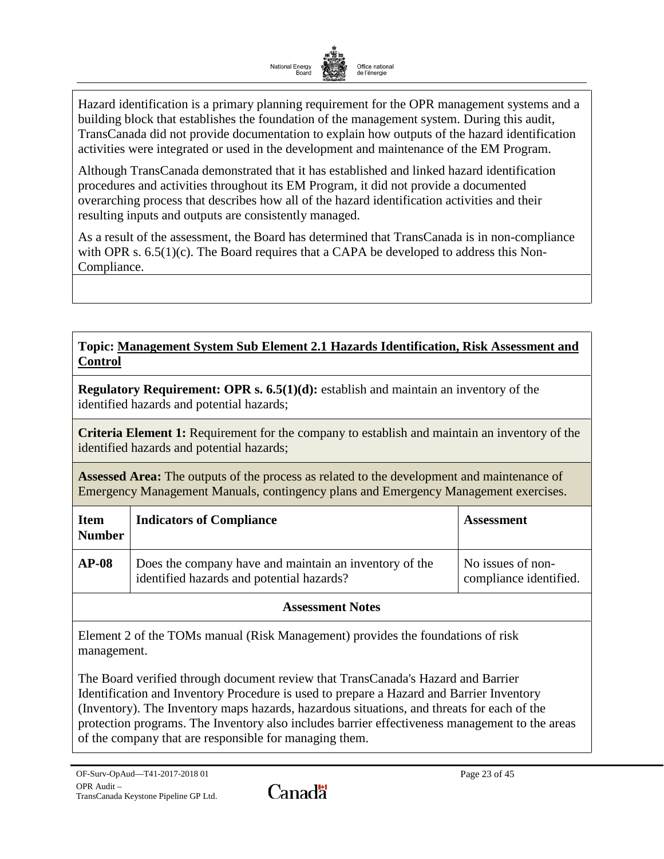

Hazard identification is a primary planning requirement for the OPR management systems and a building block that establishes the foundation of the management system. During this audit, TransCanada did not provide documentation to explain how outputs of the hazard identification activities were integrated or used in the development and maintenance of the EM Program.

Although TransCanada demonstrated that it has established and linked hazard identification procedures and activities throughout its EM Program, it did not provide a documented overarching process that describes how all of the hazard identification activities and their resulting inputs and outputs are consistently managed.

As a result of the assessment, the Board has determined that TransCanada is in non-compliance with OPR s.  $6.5(1)(c)$ . The Board requires that a CAPA be developed to address this Non-Compliance.

# **Topic: Management System Sub Element 2.1 Hazards Identification, Risk Assessment and Control**

**Regulatory Requirement: OPR s. 6.5(1)(d):** establish and maintain an inventory of the identified hazards and potential hazards;

**Criteria Element 1:** Requirement for the company to establish and maintain an inventory of the identified hazards and potential hazards;

**Assessed Area:** The outputs of the process as related to the development and maintenance of Emergency Management Manuals, contingency plans and Emergency Management exercises.

| <b>Item</b><br><b>Number</b> | <b>Indicators of Compliance</b>                                                                     | <b>Assessment</b>                           |
|------------------------------|-----------------------------------------------------------------------------------------------------|---------------------------------------------|
| $AP-08$                      | Does the company have and maintain an inventory of the<br>identified hazards and potential hazards? | No issues of non-<br>compliance identified. |

# **Assessment Notes**

Element 2 of the TOMs manual (Risk Management) provides the foundations of risk management.

The Board verified through document review that TransCanada's Hazard and Barrier Identification and Inventory Procedure is used to prepare a Hazard and Barrier Inventory (Inventory). The Inventory maps hazards, hazardous situations, and threats for each of the protection programs. The Inventory also includes barrier effectiveness management to the areas of the company that are responsible for managing them.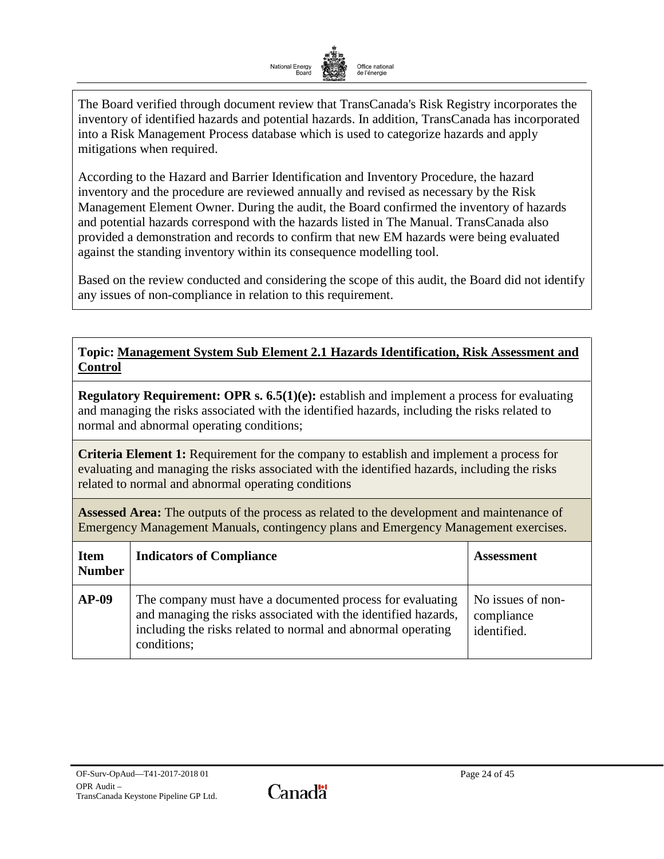

The Board verified through document review that TransCanada's Risk Registry incorporates the inventory of identified hazards and potential hazards. In addition, TransCanada has incorporated into a Risk Management Process database which is used to categorize hazards and apply mitigations when required.

According to the Hazard and Barrier Identification and Inventory Procedure, the hazard inventory and the procedure are reviewed annually and revised as necessary by the Risk Management Element Owner. During the audit, the Board confirmed the inventory of hazards and potential hazards correspond with the hazards listed in The Manual. TransCanada also provided a demonstration and records to confirm that new EM hazards were being evaluated against the standing inventory within its consequence modelling tool.

Based on the review conducted and considering the scope of this audit, the Board did not identify any issues of non-compliance in relation to this requirement.

# **Topic: Management System Sub Element 2.1 Hazards Identification, Risk Assessment and Control**

**Regulatory Requirement: OPR s. 6.5(1)(e):** establish and implement a process for evaluating and managing the risks associated with the identified hazards, including the risks related to normal and abnormal operating conditions;

**Criteria Element 1:** Requirement for the company to establish and implement a process for evaluating and managing the risks associated with the identified hazards, including the risks related to normal and abnormal operating conditions

**Assessed Area:** The outputs of the process as related to the development and maintenance of Emergency Management Manuals, contingency plans and Emergency Management exercises.

| <b>Item</b><br><b>Number</b> | <b>Indicators of Compliance</b>                                                                                                                                                                            | <b>Assessment</b>                              |
|------------------------------|------------------------------------------------------------------------------------------------------------------------------------------------------------------------------------------------------------|------------------------------------------------|
| $AP-09$                      | The company must have a documented process for evaluating<br>and managing the risks associated with the identified hazards,<br>including the risks related to normal and abnormal operating<br>conditions; | No issues of non-<br>compliance<br>identified. |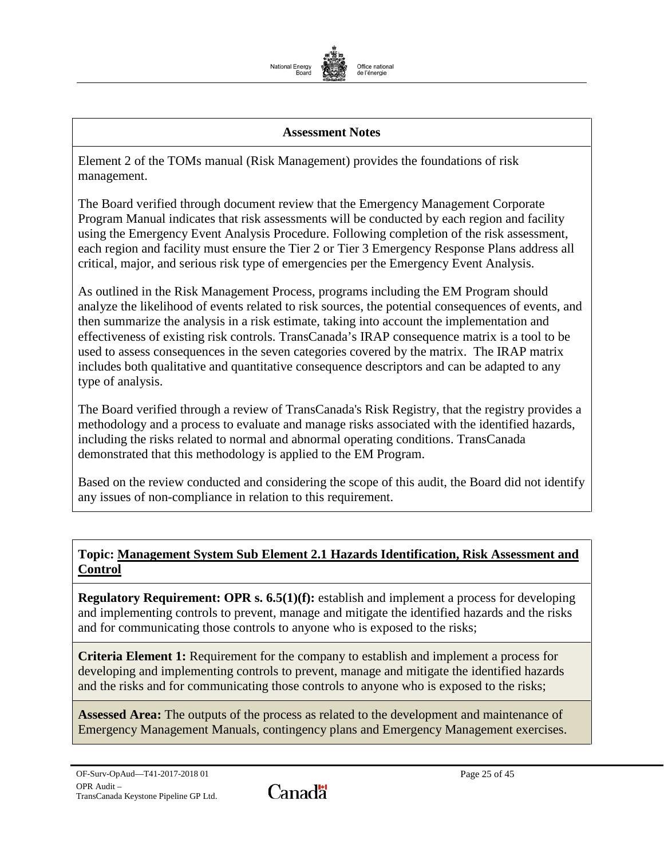

#### **Assessment Notes**

Element 2 of the TOMs manual (Risk Management) provides the foundations of risk management.

The Board verified through document review that the Emergency Management Corporate Program Manual indicates that risk assessments will be conducted by each region and facility using the Emergency Event Analysis Procedure. Following completion of the risk assessment, each region and facility must ensure the Tier 2 or Tier 3 Emergency Response Plans address all critical, major, and serious risk type of emergencies per the Emergency Event Analysis.

As outlined in the Risk Management Process, programs including the EM Program should analyze the likelihood of events related to risk sources, the potential consequences of events, and then summarize the analysis in a risk estimate, taking into account the implementation and effectiveness of existing risk controls. TransCanada's IRAP consequence matrix is a tool to be used to assess consequences in the seven categories covered by the matrix. The IRAP matrix includes both qualitative and quantitative consequence descriptors and can be adapted to any type of analysis.

The Board verified through a review of TransCanada's Risk Registry, that the registry provides a methodology and a process to evaluate and manage risks associated with the identified hazards, including the risks related to normal and abnormal operating conditions. TransCanada demonstrated that this methodology is applied to the EM Program.

Based on the review conducted and considering the scope of this audit, the Board did not identify any issues of non-compliance in relation to this requirement.

### **Topic: Management System Sub Element 2.1 Hazards Identification, Risk Assessment and Control**

**Regulatory Requirement: OPR s. 6.5(1)(f):** establish and implement a process for developing and implementing controls to prevent, manage and mitigate the identified hazards and the risks and for communicating those controls to anyone who is exposed to the risks;

**Criteria Element 1:** Requirement for the company to establish and implement a process for developing and implementing controls to prevent, manage and mitigate the identified hazards and the risks and for communicating those controls to anyone who is exposed to the risks;

**Assessed Area:** The outputs of the process as related to the development and maintenance of Emergency Management Manuals, contingency plans and Emergency Management exercises.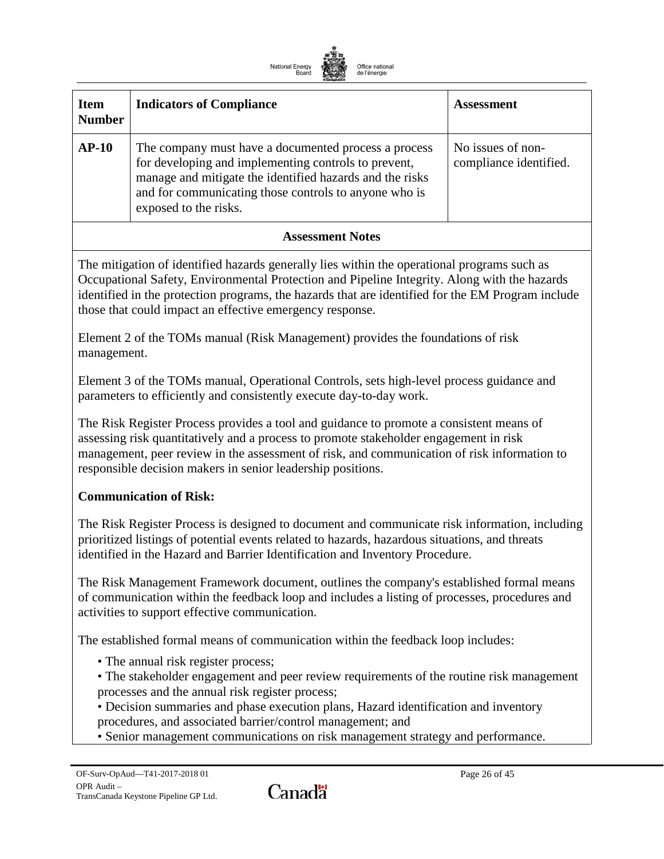

| <b>Item</b><br><b>Number</b> | <b>Indicators of Compliance</b>                                                                                                                                                                                                                            | <b>Assessment</b>                           |
|------------------------------|------------------------------------------------------------------------------------------------------------------------------------------------------------------------------------------------------------------------------------------------------------|---------------------------------------------|
| $AP-10$                      | The company must have a documented process a process<br>for developing and implementing controls to prevent,<br>manage and mitigate the identified hazards and the risks<br>and for communicating those controls to anyone who is<br>exposed to the risks. | No issues of non-<br>compliance identified. |

#### **Assessment Notes**

The mitigation of identified hazards generally lies within the operational programs such as Occupational Safety, Environmental Protection and Pipeline Integrity. Along with the hazards identified in the protection programs, the hazards that are identified for the EM Program include those that could impact an effective emergency response.

Element 2 of the TOMs manual (Risk Management) provides the foundations of risk management.

Element 3 of the TOMs manual, Operational Controls, sets high-level process guidance and parameters to efficiently and consistently execute day-to-day work.

The Risk Register Process provides a tool and guidance to promote a consistent means of assessing risk quantitatively and a process to promote stakeholder engagement in risk management, peer review in the assessment of risk, and communication of risk information to responsible decision makers in senior leadership positions.

### **Communication of Risk:**

The Risk Register Process is designed to document and communicate risk information, including prioritized listings of potential events related to hazards, hazardous situations, and threats identified in the Hazard and Barrier Identification and Inventory Procedure.

The Risk Management Framework document, outlines the company's established formal means of communication within the feedback loop and includes a listing of processes, procedures and activities to support effective communication.

The established formal means of communication within the feedback loop includes:

- The annual risk register process;
- The stakeholder engagement and peer review requirements of the routine risk management processes and the annual risk register process;
- Decision summaries and phase execution plans, Hazard identification and inventory procedures, and associated barrier/control management; and
- Senior management communications on risk management strategy and performance.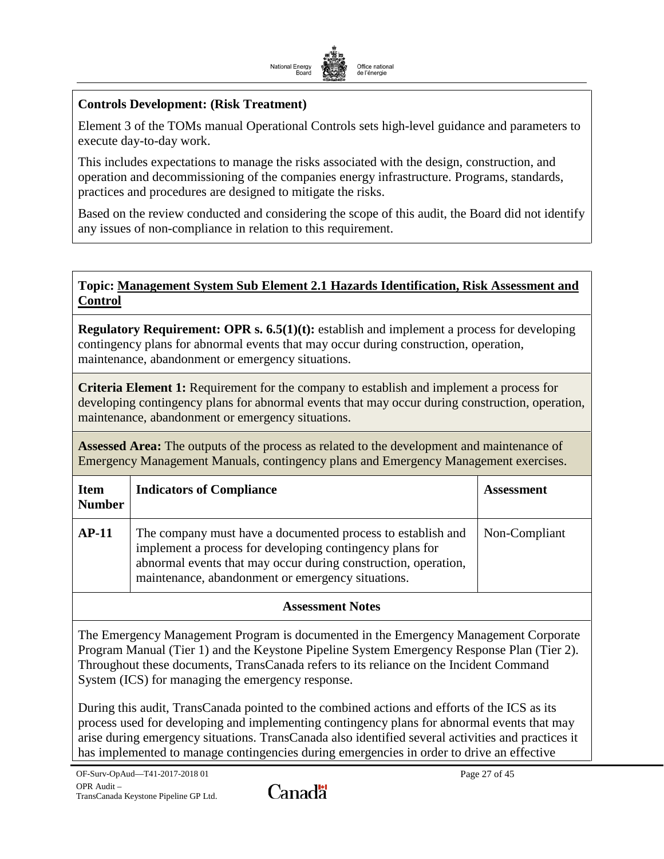

### **Controls Development: (Risk Treatment)**

Element 3 of the TOMs manual Operational Controls sets high-level guidance and parameters to execute day-to-day work.

This includes expectations to manage the risks associated with the design, construction, and operation and decommissioning of the companies energy infrastructure. Programs, standards, practices and procedures are designed to mitigate the risks.

Based on the review conducted and considering the scope of this audit, the Board did not identify any issues of non-compliance in relation to this requirement.

### <span id="page-28-0"></span>**Topic: Management System Sub Element 2.1 Hazards Identification, Risk Assessment and Control**

**Regulatory Requirement: OPR s. 6.5(1)(t):** establish and implement a process for developing contingency plans for abnormal events that may occur during construction, operation, maintenance, abandonment or emergency situations.

**Criteria Element 1:** Requirement for the company to establish and implement a process for developing contingency plans for abnormal events that may occur during construction, operation, maintenance, abandonment or emergency situations.

**Assessed Area:** The outputs of the process as related to the development and maintenance of Emergency Management Manuals, contingency plans and Emergency Management exercises.

| <b>Item</b><br><b>Number</b> | <b>Indicators of Compliance</b>                                                                                                                                                                                                                | <b>Assessment</b> |
|------------------------------|------------------------------------------------------------------------------------------------------------------------------------------------------------------------------------------------------------------------------------------------|-------------------|
| $AP-11$                      | The company must have a documented process to establish and<br>implement a process for developing contingency plans for<br>abnormal events that may occur during construction, operation,<br>maintenance, abandonment or emergency situations. | Non-Compliant     |

# **Assessment Notes**

The Emergency Management Program is documented in the Emergency Management Corporate Program Manual (Tier 1) and the Keystone Pipeline System Emergency Response Plan (Tier 2). Throughout these documents, TransCanada refers to its reliance on the Incident Command System (ICS) for managing the emergency response.

During this audit, TransCanada pointed to the combined actions and efforts of the ICS as its process used for developing and implementing contingency plans for abnormal events that may arise during emergency situations. TransCanada also identified several activities and practices it has implemented to manage contingencies during emergencies in order to drive an effective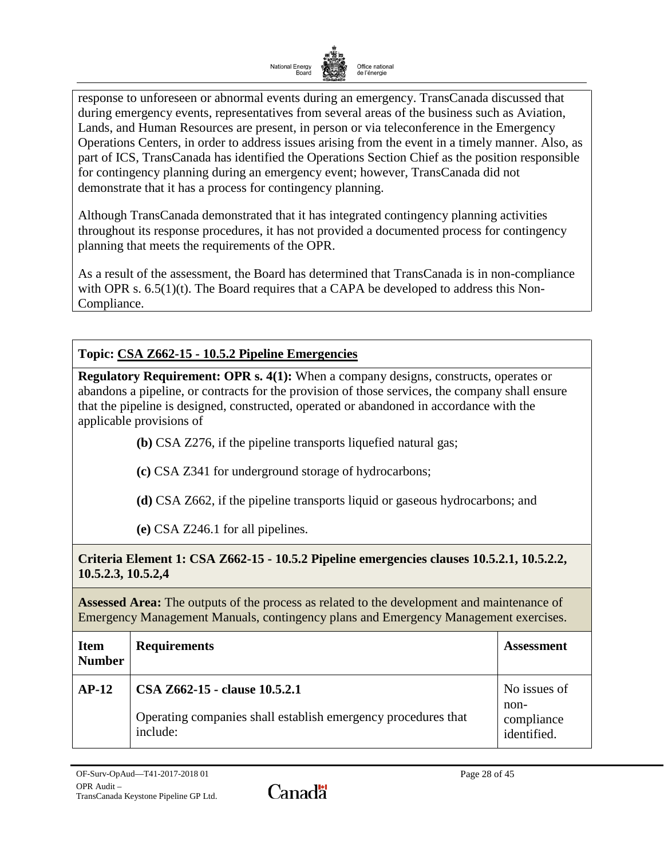

response to unforeseen or abnormal events during an emergency. TransCanada discussed that during emergency events, representatives from several areas of the business such as Aviation, Lands, and Human Resources are present, in person or via teleconference in the Emergency Operations Centers, in order to address issues arising from the event in a timely manner. Also, as part of ICS, TransCanada has identified the Operations Section Chief as the position responsible for contingency planning during an emergency event; however, TransCanada did not demonstrate that it has a process for contingency planning.

Although TransCanada demonstrated that it has integrated contingency planning activities throughout its response procedures, it has not provided a documented process for contingency planning that meets the requirements of the OPR.

As a result of the assessment, the Board has determined that TransCanada is in non-compliance with OPR s.  $6.5(1)(t)$ . The Board requires that a CAPA be developed to address this Non-Compliance.

# **Topic: CSA Z662-15 - 10.5.2 Pipeline Emergencies**

**Regulatory Requirement: OPR s. 4(1):** When a company designs, constructs, operates or abandons a pipeline, or contracts for the provision of those services, the company shall ensure that the pipeline is designed, constructed, operated or abandoned in accordance with the applicable provisions of

- **(b)** CSA Z276, if the pipeline transports liquefied natural gas;
- **(c)** CSA Z341 for underground storage of hydrocarbons;
- **(d)** CSA Z662, if the pipeline transports liquid or gaseous hydrocarbons; and
- **(e)** CSA Z246.1 for all pipelines.

# **Criteria Element 1: CSA Z662-15 - 10.5.2 Pipeline emergencies clauses 10.5.2.1, 10.5.2.2, 10.5.2.3, 10.5.2,4**

**Assessed Area:** The outputs of the process as related to the development and maintenance of Emergency Management Manuals, contingency plans and Emergency Management exercises.

| <b>Item</b><br><b>Number</b> | <b>Requirements</b>                                                       | <b>Assessment</b>         |
|------------------------------|---------------------------------------------------------------------------|---------------------------|
| $AP-12$                      | CSA Z662-15 - clause 10.5.2.1                                             | No issues of<br>non-      |
|                              | Operating companies shall establish emergency procedures that<br>include: | compliance<br>identified. |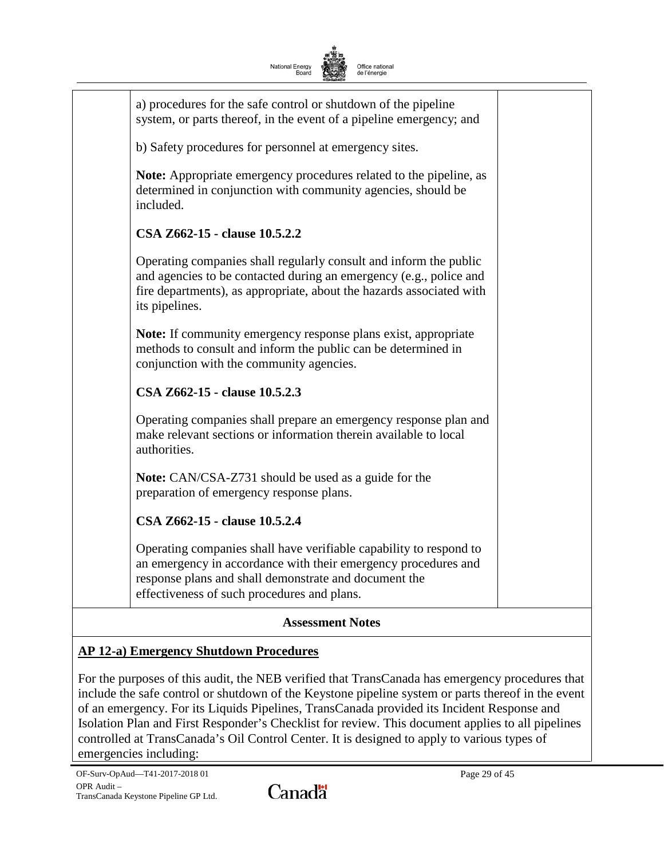| National Energy<br>Office national<br>Board<br>de l'énergie                                                                                                                                                                                  |  |  |
|----------------------------------------------------------------------------------------------------------------------------------------------------------------------------------------------------------------------------------------------|--|--|
| a) procedures for the safe control or shutdown of the pipeline<br>system, or parts thereof, in the event of a pipeline emergency; and                                                                                                        |  |  |
| b) Safety procedures for personnel at emergency sites.                                                                                                                                                                                       |  |  |
| <b>Note:</b> Appropriate emergency procedures related to the pipeline, as<br>determined in conjunction with community agencies, should be<br>included.                                                                                       |  |  |
| CSA Z662-15 - clause 10.5.2.2                                                                                                                                                                                                                |  |  |
| Operating companies shall regularly consult and inform the public<br>and agencies to be contacted during an emergency (e.g., police and<br>fire departments), as appropriate, about the hazards associated with<br>its pipelines.            |  |  |
| <b>Note:</b> If community emergency response plans exist, appropriate<br>methods to consult and inform the public can be determined in<br>conjunction with the community agencies.                                                           |  |  |
| CSA Z662-15 - clause 10.5.2.3                                                                                                                                                                                                                |  |  |
| Operating companies shall prepare an emergency response plan and<br>make relevant sections or information therein available to local<br>authorities.                                                                                         |  |  |
| Note: CAN/CSA-Z731 should be used as a guide for the<br>preparation of emergency response plans.                                                                                                                                             |  |  |
| CSA Z662-15 - clause 10.5.2.4                                                                                                                                                                                                                |  |  |
| Operating companies shall have verifiable capability to respond to<br>an emergency in accordance with their emergency procedures and<br>response plans and shall demonstrate and document the<br>effectiveness of such procedures and plans. |  |  |
| <b>Assessment Notes</b>                                                                                                                                                                                                                      |  |  |

# **AP 12-a) Emergency Shutdown Procedures**

For the purposes of this audit, the NEB verified that TransCanada has emergency procedures that include the safe control or shutdown of the Keystone pipeline system or parts thereof in the event of an emergency. For its Liquids Pipelines, TransCanada provided its Incident Response and Isolation Plan and First Responder's Checklist for review. This document applies to all pipelines controlled at TransCanada's Oil Control Center. It is designed to apply to various types of emergencies including: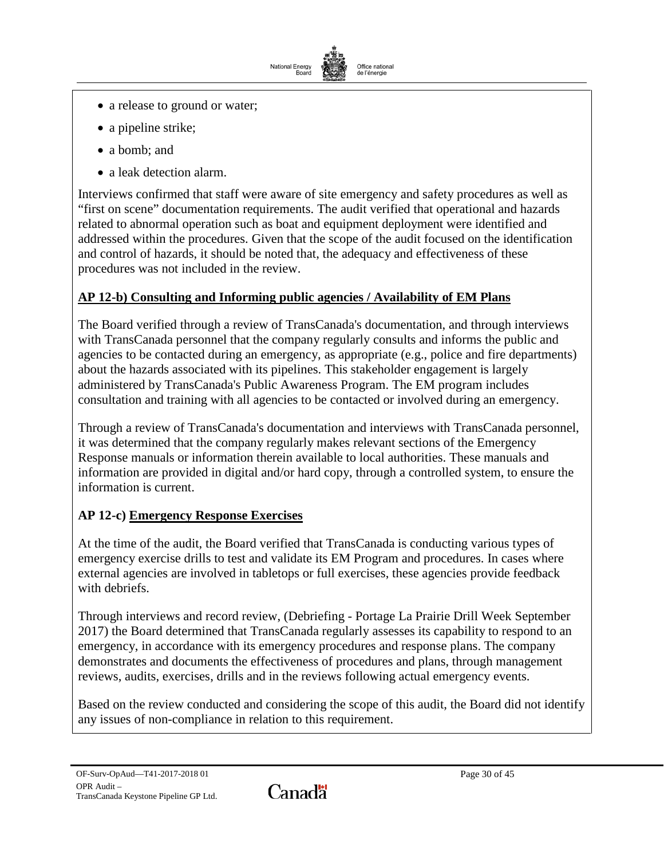

- a release to ground or water;
- a pipeline strike;
- a bomb; and
- a leak detection alarm.

Interviews confirmed that staff were aware of site emergency and safety procedures as well as "first on scene" documentation requirements. The audit verified that operational and hazards related to abnormal operation such as boat and equipment deployment were identified and addressed within the procedures. Given that the scope of the audit focused on the identification and control of hazards, it should be noted that, the adequacy and effectiveness of these procedures was not included in the review.

# **AP 12-b) Consulting and Informing public agencies / Availability of EM Plans**

The Board verified through a review of TransCanada's documentation, and through interviews with TransCanada personnel that the company regularly consults and informs the public and agencies to be contacted during an emergency, as appropriate (e.g., police and fire departments) about the hazards associated with its pipelines. This stakeholder engagement is largely administered by TransCanada's Public Awareness Program. The EM program includes consultation and training with all agencies to be contacted or involved during an emergency.

Through a review of TransCanada's documentation and interviews with TransCanada personnel, it was determined that the company regularly makes relevant sections of the Emergency Response manuals or information therein available to local authorities. These manuals and information are provided in digital and/or hard copy, through a controlled system, to ensure the information is current.

# **AP 12-c) Emergency Response Exercises**

At the time of the audit, the Board verified that TransCanada is conducting various types of emergency exercise drills to test and validate its EM Program and procedures. In cases where external agencies are involved in tabletops or full exercises, these agencies provide feedback with debriefs.

Through interviews and record review, (Debriefing - Portage La Prairie Drill Week September 2017) the Board determined that TransCanada regularly assesses its capability to respond to an emergency, in accordance with its emergency procedures and response plans. The company demonstrates and documents the effectiveness of procedures and plans, through management reviews, audits, exercises, drills and in the reviews following actual emergency events.

Based on the review conducted and considering the scope of this audit, the Board did not identify any issues of non-compliance in relation to this requirement.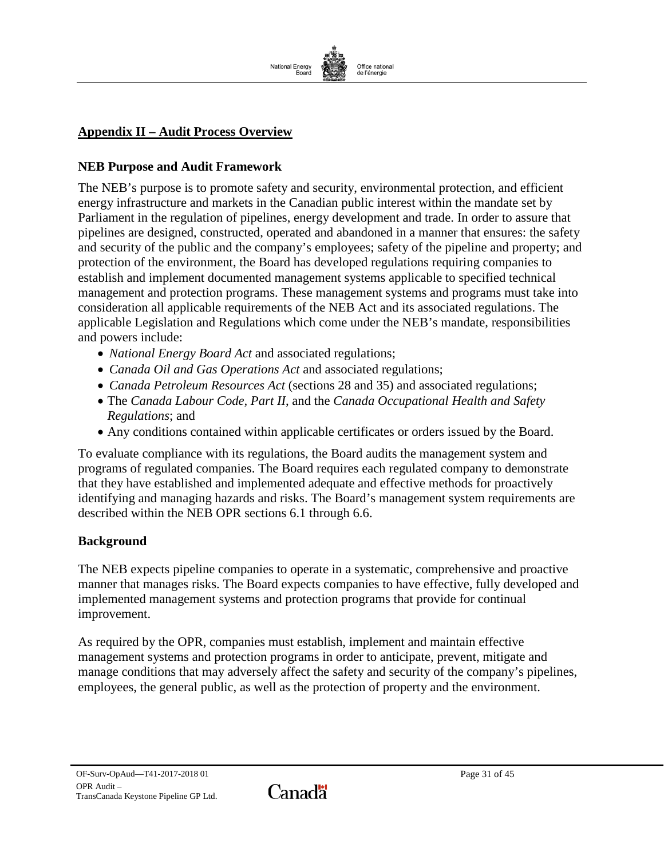

# <span id="page-32-0"></span>**Appendix II – Audit Process Overview**

#### **NEB Purpose and Audit Framework**

The NEB's purpose is to promote safety and security, environmental protection, and efficient energy infrastructure and markets in the Canadian public interest within the mandate set by Parliament in the regulation of pipelines, energy development and trade. In order to assure that pipelines are designed, constructed, operated and abandoned in a manner that ensures: the safety and security of the public and the company's employees; safety of the pipeline and property; and protection of the environment, the Board has developed regulations requiring companies to establish and implement documented management systems applicable to specified technical management and protection programs. These management systems and programs must take into consideration all applicable requirements of the NEB Act and its associated regulations. The applicable Legislation and Regulations which come under the NEB's mandate, responsibilities and powers include:

- *National Energy Board Act* and associated regulations;
- *Canada Oil and Gas Operations Act* and associated regulations;
- *Canada Petroleum Resources Act* (sections 28 and 35) and associated regulations;
- The *Canada Labour Code, Part II*, and the *Canada Occupational Health and Safety Regulations*; and
- Any conditions contained within applicable certificates or orders issued by the Board.

To evaluate compliance with its regulations, the Board audits the management system and programs of regulated companies. The Board requires each regulated company to demonstrate that they have established and implemented adequate and effective methods for proactively identifying and managing hazards and risks. The Board's management system requirements are described within the NEB OPR sections 6.1 through 6.6.

### **Background**

The NEB expects pipeline companies to operate in a systematic, comprehensive and proactive manner that manages risks. The Board expects companies to have effective, fully developed and implemented management systems and protection programs that provide for continual improvement.

As required by the OPR, companies must establish, implement and maintain effective management systems and protection programs in order to anticipate, prevent, mitigate and manage conditions that may adversely affect the safety and security of the company's pipelines, employees, the general public, as well as the protection of property and the environment.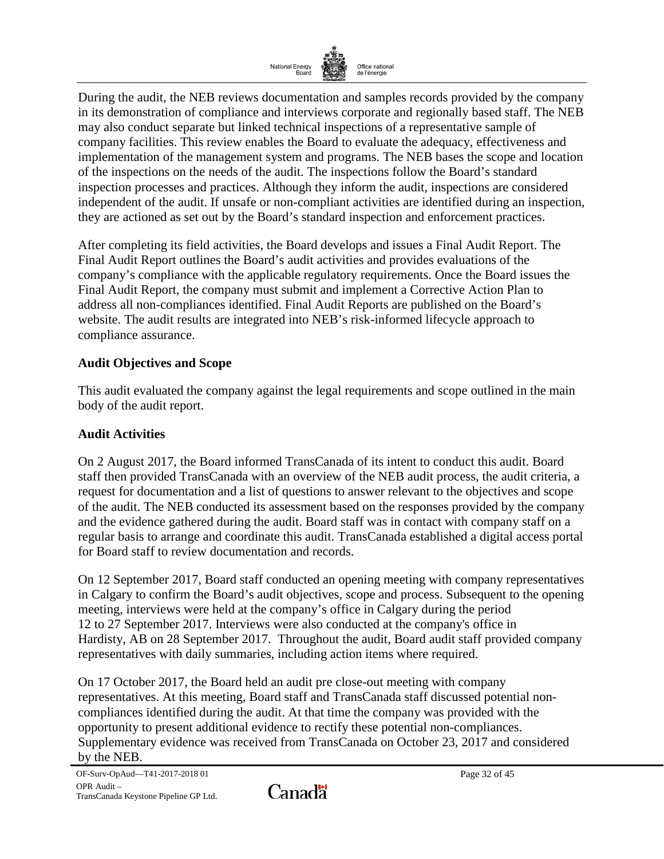

During the audit, the NEB reviews documentation and samples records provided by the company in its demonstration of compliance and interviews corporate and regionally based staff. The NEB may also conduct separate but linked technical inspections of a representative sample of company facilities. This review enables the Board to evaluate the adequacy, effectiveness and implementation of the management system and programs. The NEB bases the scope and location of the inspections on the needs of the audit. The inspections follow the Board's standard inspection processes and practices. Although they inform the audit, inspections are considered independent of the audit. If unsafe or non-compliant activities are identified during an inspection, they are actioned as set out by the Board's standard inspection and enforcement practices.

After completing its field activities, the Board develops and issues a Final Audit Report. The Final Audit Report outlines the Board's audit activities and provides evaluations of the company's compliance with the applicable regulatory requirements. Once the Board issues the Final Audit Report, the company must submit and implement a Corrective Action Plan to address all non-compliances identified. Final Audit Reports are published on the Board's website. The audit results are integrated into NEB's risk-informed lifecycle approach to compliance assurance.

### **Audit Objectives and Scope**

This audit evaluated the company against the legal requirements and scope outlined in the main body of the audit report.

### **Audit Activities**

On 2 August 2017, the Board informed TransCanada of its intent to conduct this audit. Board staff then provided TransCanada with an overview of the NEB audit process, the audit criteria, a request for documentation and a list of questions to answer relevant to the objectives and scope of the audit. The NEB conducted its assessment based on the responses provided by the company and the evidence gathered during the audit. Board staff was in contact with company staff on a regular basis to arrange and coordinate this audit. TransCanada established a digital access portal for Board staff to review documentation and records.

On 12 September 2017, Board staff conducted an opening meeting with company representatives in Calgary to confirm the Board's audit objectives, scope and process. Subsequent to the opening meeting, interviews were held at the company's office in Calgary during the period 12 to 27 September 2017. Interviews were also conducted at the company's office in Hardisty, AB on 28 September 2017. Throughout the audit, Board audit staff provided company representatives with daily summaries, including action items where required.

On 17 October 2017, the Board held an audit pre close-out meeting with company representatives. At this meeting, Board staff and TransCanada staff discussed potential noncompliances identified during the audit. At that time the company was provided with the opportunity to present additional evidence to rectify these potential non-compliances. Supplementary evidence was received from TransCanada on October 23, 2017 and considered by the NEB.

Canadä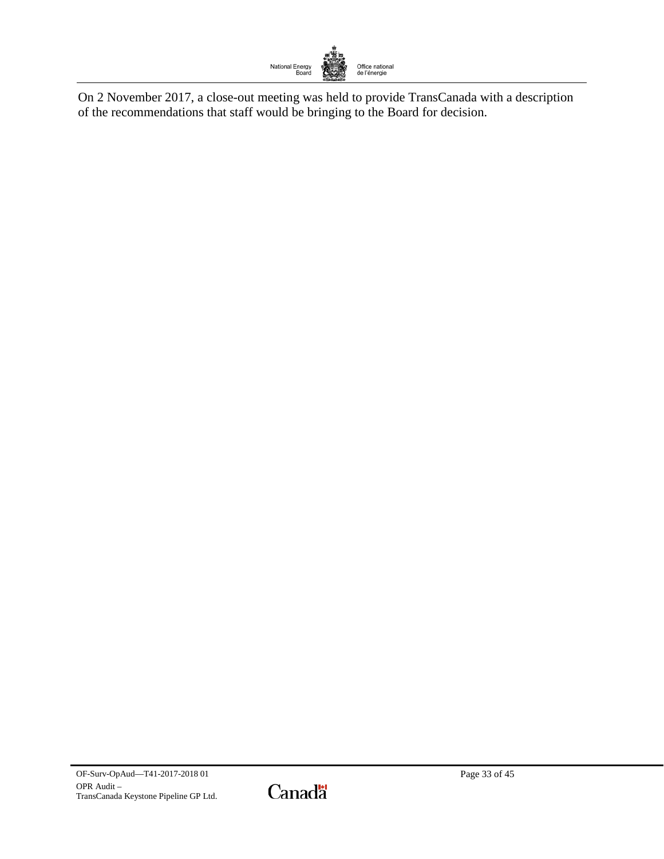

On 2 November 2017, a close-out meeting was held to provide TransCanada with a description of the recommendations that staff would be bringing to the Board for decision.

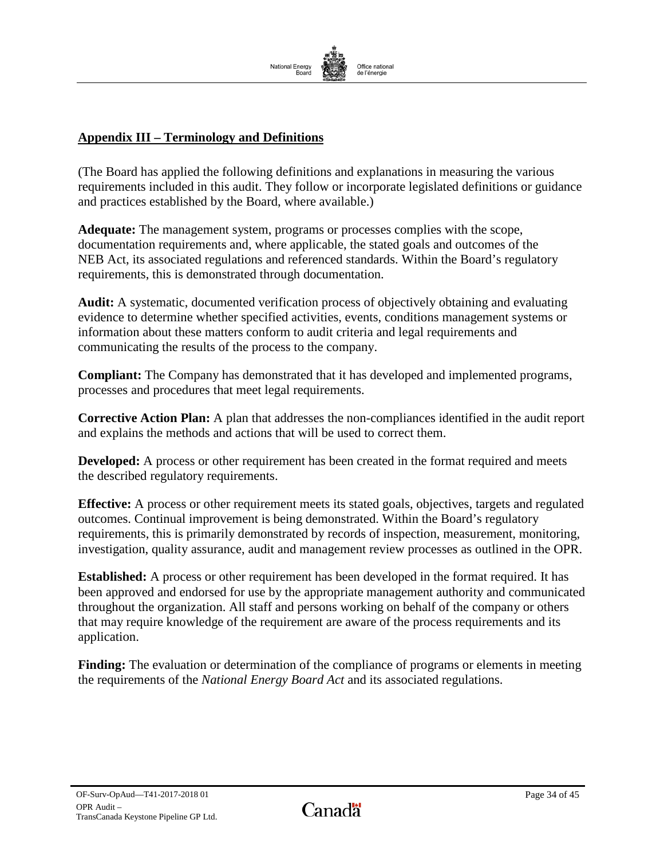

# **Appendix III – Terminology and Definitions**

(The Board has applied the following definitions and explanations in measuring the various requirements included in this audit. They follow or incorporate legislated definitions or guidance and practices established by the Board, where available.)

**Adequate:** The management system, programs or processes complies with the scope, documentation requirements and, where applicable, the stated goals and outcomes of the NEB Act, its associated regulations and referenced standards. Within the Board's regulatory requirements, this is demonstrated through documentation.

**Audit:** A systematic, documented verification process of objectively obtaining and evaluating evidence to determine whether specified activities, events, conditions management systems or information about these matters conform to audit criteria and legal requirements and communicating the results of the process to the company.

**Compliant:** The Company has demonstrated that it has developed and implemented programs, processes and procedures that meet legal requirements.

**Corrective Action Plan:** A plan that addresses the non-compliances identified in the audit report and explains the methods and actions that will be used to correct them.

**Developed:** A process or other requirement has been created in the format required and meets the described regulatory requirements.

**Effective:** A process or other requirement meets its stated goals, objectives, targets and regulated outcomes. Continual improvement is being demonstrated. Within the Board's regulatory requirements, this is primarily demonstrated by records of inspection, measurement, monitoring, investigation, quality assurance, audit and management review processes as outlined in the OPR.

**Established:** A process or other requirement has been developed in the format required. It has been approved and endorsed for use by the appropriate management authority and communicated throughout the organization. All staff and persons working on behalf of the company or others that may require knowledge of the requirement are aware of the process requirements and its application.

**Finding:** The evaluation or determination of the compliance of programs or elements in meeting the requirements of the *National Energy Board Act* and its associated regulations.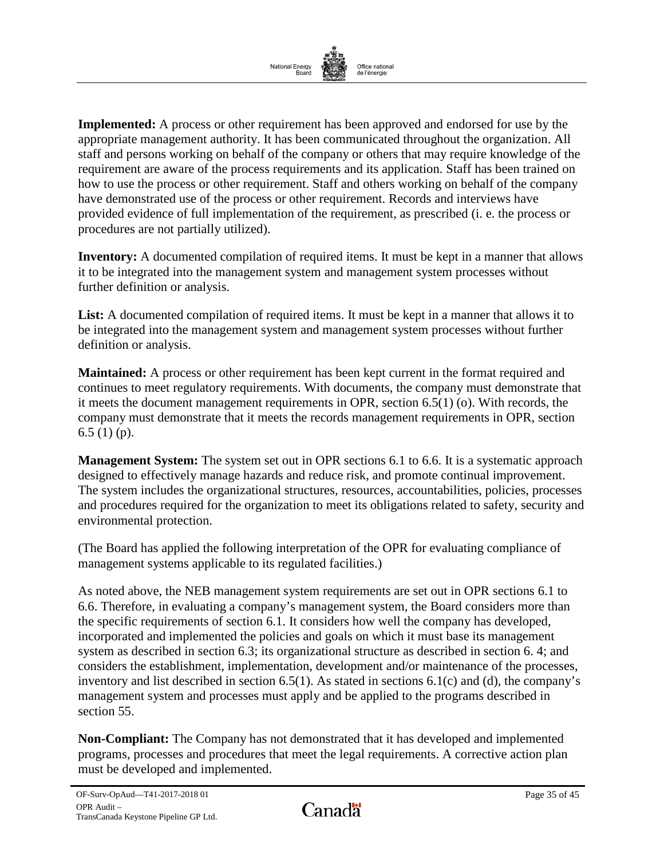

**Implemented:** A process or other requirement has been approved and endorsed for use by the appropriate management authority. It has been communicated throughout the organization. All staff and persons working on behalf of the company or others that may require knowledge of the requirement are aware of the process requirements and its application. Staff has been trained on how to use the process or other requirement. Staff and others working on behalf of the company have demonstrated use of the process or other requirement. Records and interviews have provided evidence of full implementation of the requirement, as prescribed (i. e. the process or procedures are not partially utilized).

**Inventory:** A documented compilation of required items. It must be kept in a manner that allows it to be integrated into the management system and management system processes without further definition or analysis.

List: A documented compilation of required items. It must be kept in a manner that allows it to be integrated into the management system and management system processes without further definition or analysis.

**Maintained:** A process or other requirement has been kept current in the format required and continues to meet regulatory requirements. With documents, the company must demonstrate that it meets the document management requirements in OPR, section 6.5(1) (o). With records, the company must demonstrate that it meets the records management requirements in OPR, section 6.5 (1) (p).

**Management System:** The system set out in OPR sections 6.1 to 6.6. It is a systematic approach designed to effectively manage hazards and reduce risk, and promote continual improvement. The system includes the organizational structures, resources, accountabilities, policies, processes and procedures required for the organization to meet its obligations related to safety, security and environmental protection.

(The Board has applied the following interpretation of the OPR for evaluating compliance of management systems applicable to its regulated facilities.)

As noted above, the NEB management system requirements are set out in OPR sections 6.1 to 6.6. Therefore, in evaluating a company's management system, the Board considers more than the specific requirements of section 6.1. It considers how well the company has developed, incorporated and implemented the policies and goals on which it must base its management system as described in section 6.3; its organizational structure as described in section 6. 4; and considers the establishment, implementation, development and/or maintenance of the processes, inventory and list described in section 6.5(1). As stated in sections 6.1(c) and (d), the company's management system and processes must apply and be applied to the programs described in section 55.

**Non-Compliant:** The Company has not demonstrated that it has developed and implemented programs, processes and procedures that meet the legal requirements. A corrective action plan must be developed and implemented.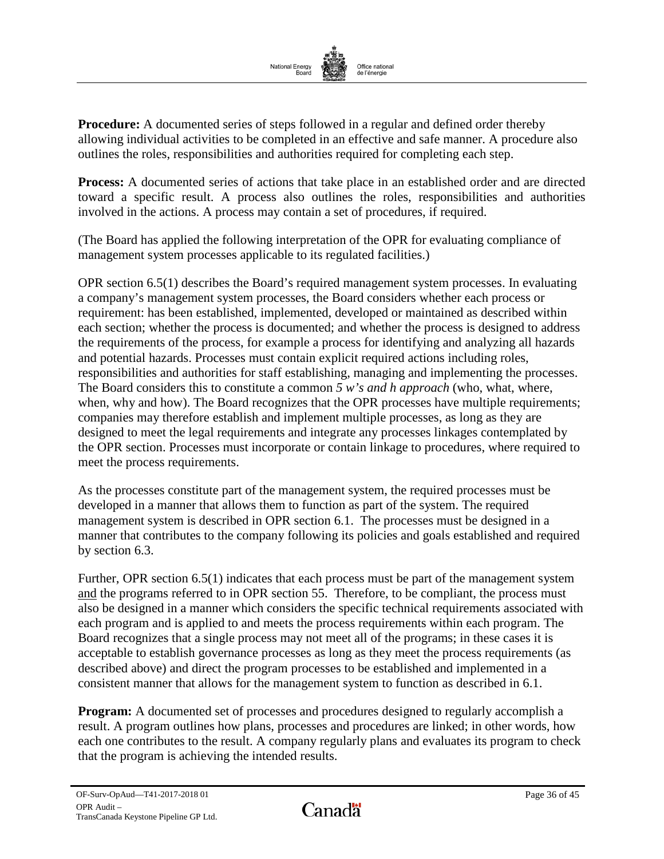

**Procedure:** A documented series of steps followed in a regular and defined order thereby allowing individual activities to be completed in an effective and safe manner. A procedure also outlines the roles, responsibilities and authorities required for completing each step.

**Process:** A documented series of actions that take place in an established order and are directed toward a specific result. A process also outlines the roles, responsibilities and authorities involved in the actions. A process may contain a set of procedures, if required.

(The Board has applied the following interpretation of the OPR for evaluating compliance of management system processes applicable to its regulated facilities.)

OPR section 6.5(1) describes the Board's required management system processes. In evaluating a company's management system processes, the Board considers whether each process or requirement: has been established, implemented, developed or maintained as described within each section; whether the process is documented; and whether the process is designed to address the requirements of the process, for example a process for identifying and analyzing all hazards and potential hazards. Processes must contain explicit required actions including roles, responsibilities and authorities for staff establishing, managing and implementing the processes. The Board considers this to constitute a common *5 w's and h approach* (who, what, where, when, why and how). The Board recognizes that the OPR processes have multiple requirements; companies may therefore establish and implement multiple processes, as long as they are designed to meet the legal requirements and integrate any processes linkages contemplated by the OPR section. Processes must incorporate or contain linkage to procedures, where required to meet the process requirements.

As the processes constitute part of the management system, the required processes must be developed in a manner that allows them to function as part of the system. The required management system is described in OPR section 6.1. The processes must be designed in a manner that contributes to the company following its policies and goals established and required by section 6.3.

Further, OPR section 6.5(1) indicates that each process must be part of the management system and the programs referred to in OPR section 55. Therefore, to be compliant, the process must also be designed in a manner which considers the specific technical requirements associated with each program and is applied to and meets the process requirements within each program. The Board recognizes that a single process may not meet all of the programs; in these cases it is acceptable to establish governance processes as long as they meet the process requirements (as described above) and direct the program processes to be established and implemented in a consistent manner that allows for the management system to function as described in 6.1.

**Program:** A documented set of processes and procedures designed to regularly accomplish a result. A program outlines how plans, processes and procedures are linked; in other words, how each one contributes to the result. A company regularly plans and evaluates its program to check that the program is achieving the intended results.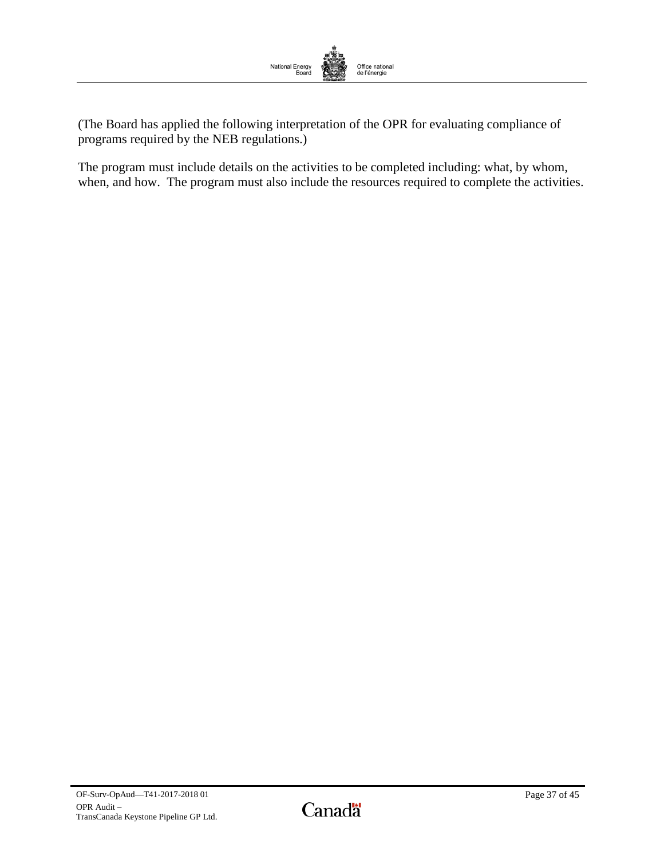

(The Board has applied the following interpretation of the OPR for evaluating compliance of programs required by the NEB regulations.)

The program must include details on the activities to be completed including: what, by whom, when, and how. The program must also include the resources required to complete the activities.

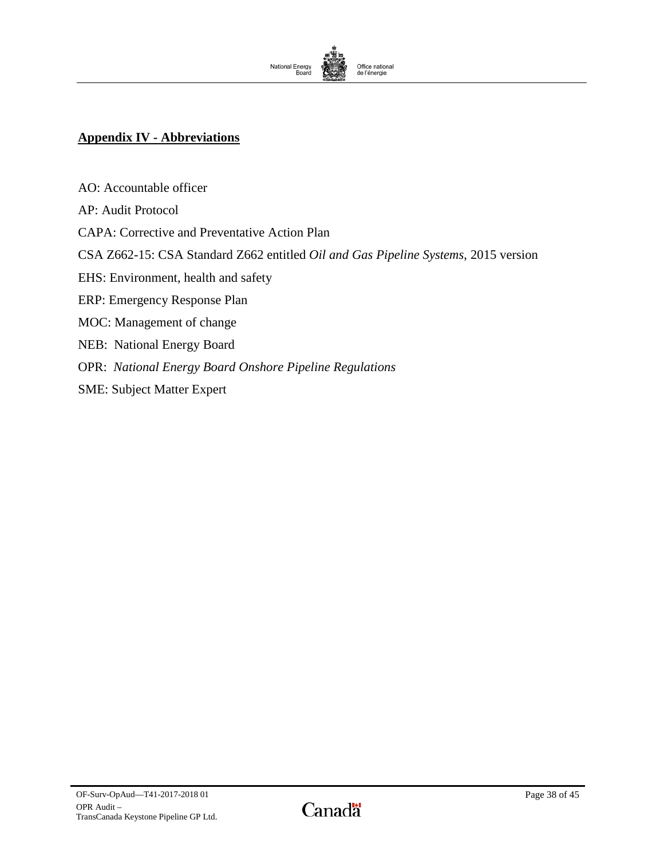

# <span id="page-39-0"></span>**Appendix IV - Abbreviations**

AO: Accountable officer AP: Audit Protocol CAPA: Corrective and Preventative Action Plan CSA Z662-15: CSA Standard Z662 entitled *Oil and Gas Pipeline Systems*, 2015 version EHS: Environment, health and safety ERP: Emergency Response Plan MOC: Management of change NEB: National Energy Board OPR: *National Energy Board Onshore Pipeline Regulations* SME: Subject Matter Expert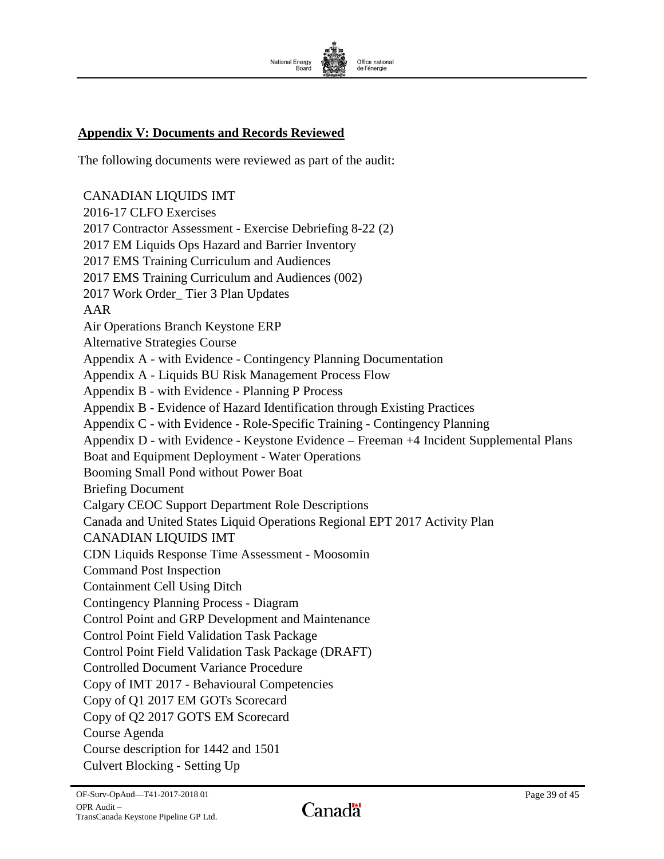

# <span id="page-40-0"></span>**Appendix V: Documents and Records Reviewed**

The following documents were reviewed as part of the audit:

CANADIAN LIQUIDS IMT 2016-17 CLFO Exercises 2017 Contractor Assessment - Exercise Debriefing 8-22 (2) 2017 EM Liquids Ops Hazard and Barrier Inventory 2017 EMS Training Curriculum and Audiences 2017 EMS Training Curriculum and Audiences (002) 2017 Work Order\_ Tier 3 Plan Updates AAR Air Operations Branch Keystone ERP Alternative Strategies Course Appendix A - with Evidence - Contingency Planning Documentation Appendix A - Liquids BU Risk Management Process Flow Appendix B - with Evidence - Planning P Process Appendix B - Evidence of Hazard Identification through Existing Practices Appendix C - with Evidence - Role-Specific Training - Contingency Planning Appendix D - with Evidence - Keystone Evidence – Freeman +4 Incident Supplemental Plans Boat and Equipment Deployment - Water Operations Booming Small Pond without Power Boat Briefing Document Calgary CEOC Support Department Role Descriptions Canada and United States Liquid Operations Regional EPT 2017 Activity Plan CANADIAN LIQUIDS IMT CDN Liquids Response Time Assessment - Moosomin Command Post Inspection Containment Cell Using Ditch Contingency Planning Process - Diagram Control Point and GRP Development and Maintenance Control Point Field Validation Task Package Control Point Field Validation Task Package (DRAFT) Controlled Document Variance Procedure Copy of IMT 2017 - Behavioural Competencies Copy of Q1 2017 EM GOTs Scorecard Copy of Q2 2017 GOTS EM Scorecard Course Agenda Course description for 1442 and 1501 Culvert Blocking - Setting Up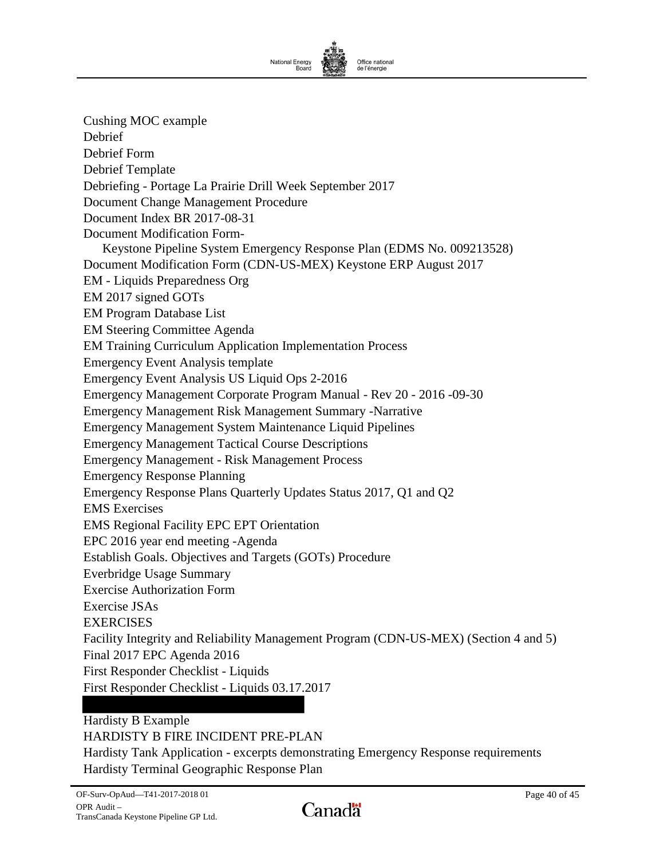

Cushing MOC example Debrief Debrief Form Debrief Template Debriefing - Portage La Prairie Drill Week September 2017 Document Change Management Procedure Document Index BR 2017-08-31 Document Modification Form-Keystone Pipeline System Emergency Response Plan (EDMS No. 009213528) Document Modification Form (CDN-US-MEX) Keystone ERP August 2017 EM - Liquids Preparedness Org EM 2017 signed GOTs EM Program Database List EM Steering Committee Agenda EM Training Curriculum Application Implementation Process Emergency Event Analysis template Emergency Event Analysis US Liquid Ops 2-2016 Emergency Management Corporate Program Manual - Rev 20 - 2016 -09-30 Emergency Management Risk Management Summary -Narrative Emergency Management System Maintenance Liquid Pipelines Emergency Management Tactical Course Descriptions Emergency Management - Risk Management Process Emergency Response Planning Emergency Response Plans Quarterly Updates Status 2017, Q1 and Q2 EMS Exercises EMS Regional Facility EPC EPT Orientation EPC 2016 year end meeting -Agenda Establish Goals. Objectives and Targets (GOTs) Procedure Everbridge Usage Summary Exercise Authorization Form Exercise JSAs EXERCISES Facility Integrity and Reliability Management Program (CDN-US-MEX) (Section 4 and 5) Final 2017 EPC Agenda 2016 First Responder Checklist - Liquids First Responder Checklist - Liquids 03.17.2017 Hardisty B Example

HARDISTY B FIRE INCIDENT PRE-PLAN Hardisty Tank Application - excerpts demonstrating Emergency Response requirements Hardisty Terminal Geographic Response Plan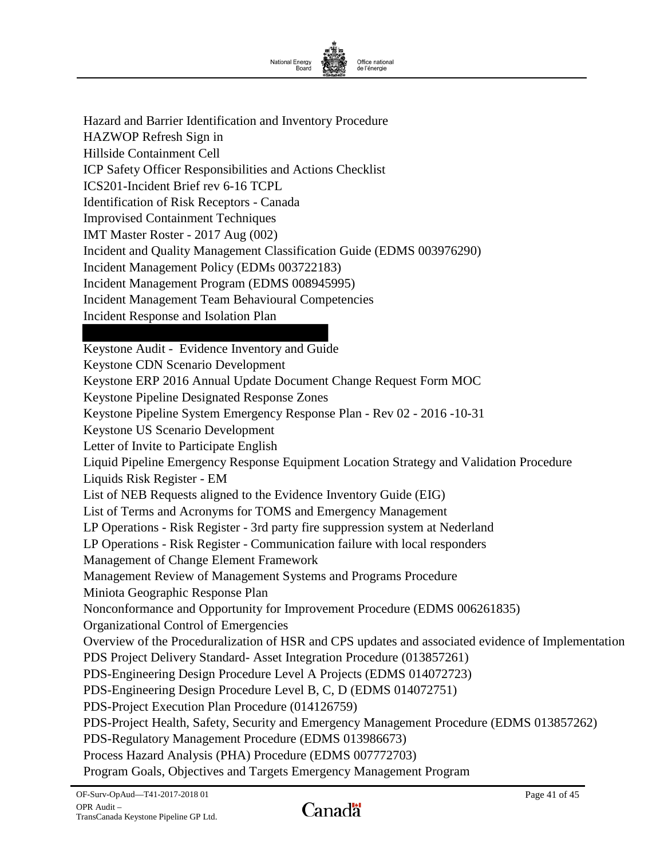

Hazard and Barrier Identification and Inventory Procedure HAZWOP Refresh Sign in Hillside Containment Cell ICP Safety Officer Responsibilities and Actions Checklist ICS201-Incident Brief rev 6-16 TCPL Identification of Risk Receptors - Canada Improvised Containment Techniques IMT Master Roster - 2017 Aug (002) Incident and Quality Management Classification Guide (EDMS 003976290) Incident Management Policy (EDMs 003722183) Incident Management Program (EDMS 008945995) Incident Management Team Behavioural Competencies Incident Response and Isolation Plan

Keystone Audit - Evidence Inventory and Guide Keystone CDN Scenario Development Keystone ERP 2016 Annual Update Document Change Request Form MOC Keystone Pipeline Designated Response Zones Keystone Pipeline System Emergency Response Plan - Rev 02 - 2016 -10-31 Keystone US Scenario Development Letter of Invite to Participate English Liquid Pipeline Emergency Response Equipment Location Strategy and Validation Procedure Liquids Risk Register - EM List of NEB Requests aligned to the Evidence Inventory Guide (EIG) List of Terms and Acronyms for TOMS and Emergency Management LP Operations - Risk Register - 3rd party fire suppression system at Nederland LP Operations - Risk Register - Communication failure with local responders Management of Change Element Framework Management Review of Management Systems and Programs Procedure Miniota Geographic Response Plan Nonconformance and Opportunity for Improvement Procedure (EDMS 006261835) Organizational Control of Emergencies Overview of the Proceduralization of HSR and CPS updates and associated evidence of Implementation PDS Project Delivery Standard- Asset Integration Procedure (013857261) PDS-Engineering Design Procedure Level A Projects (EDMS 014072723) PDS-Engineering Design Procedure Level B, C, D (EDMS 014072751) PDS-Project Execution Plan Procedure (014126759) PDS-Project Health, Safety, Security and Emergency Management Procedure (EDMS 013857262) PDS-Regulatory Management Procedure (EDMS 013986673) Process Hazard Analysis (PHA) Procedure (EDMS 007772703) Program Goals, Objectives and Targets Emergency Management Program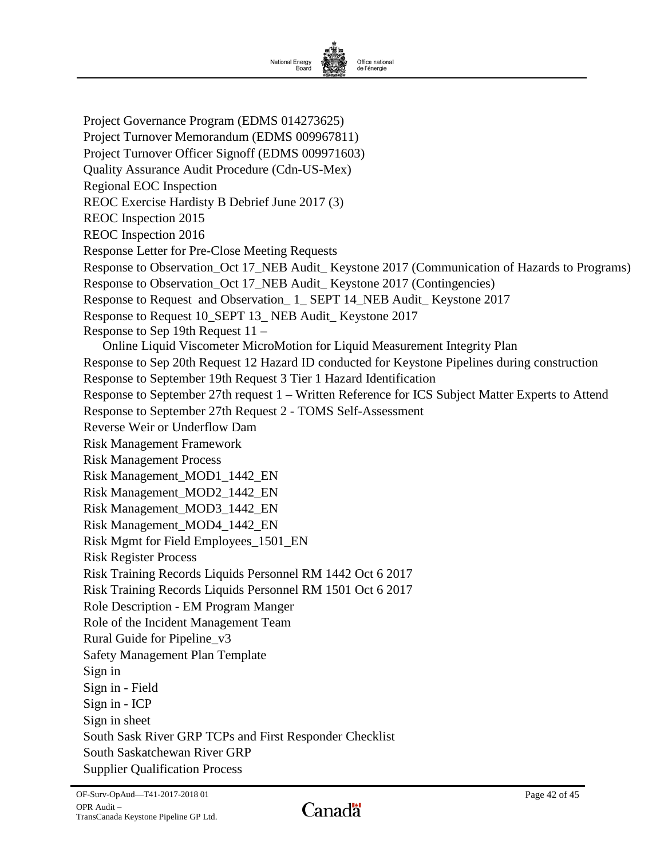

Project Governance Program (EDMS 014273625) Project Turnover Memorandum (EDMS 009967811) Project Turnover Officer Signoff (EDMS 009971603) Quality Assurance Audit Procedure (Cdn-US-Mex) Regional EOC Inspection REOC Exercise Hardisty B Debrief June 2017 (3) REOC Inspection 2015 REOC Inspection 2016 Response Letter for Pre-Close Meeting Requests Response to Observation\_Oct 17\_NEB Audit\_ Keystone 2017 (Communication of Hazards to Programs) Response to Observation\_Oct 17\_NEB Audit\_ Keystone 2017 (Contingencies) Response to Request and Observation\_ 1\_ SEPT 14\_NEB Audit\_ Keystone 2017 Response to Request 10\_SEPT 13\_ NEB Audit\_ Keystone 2017 Response to Sep 19th Request 11 – Online Liquid Viscometer MicroMotion for Liquid Measurement Integrity Plan Response to Sep 20th Request 12 Hazard ID conducted for Keystone Pipelines during construction Response to September 19th Request 3 Tier 1 Hazard Identification Response to September 27th request 1 – Written Reference for ICS Subject Matter Experts to Attend Response to September 27th Request 2 - TOMS Self-Assessment Reverse Weir or Underflow Dam Risk Management Framework Risk Management Process Risk Management\_MOD1\_1442\_EN Risk Management\_MOD2\_1442\_EN Risk Management\_MOD3\_1442\_EN Risk Management\_MOD4\_1442\_EN Risk Mgmt for Field Employees\_1501\_EN Risk Register Process Risk Training Records Liquids Personnel RM 1442 Oct 6 2017 Risk Training Records Liquids Personnel RM 1501 Oct 6 2017 Role Description - EM Program Manger Role of the Incident Management Team Rural Guide for Pipeline\_v3 Safety Management Plan Template Sign in Sign in - Field Sign in - ICP Sign in sheet South Sask River GRP TCPs and First Responder Checklist South Saskatchewan River GRP Supplier Qualification Process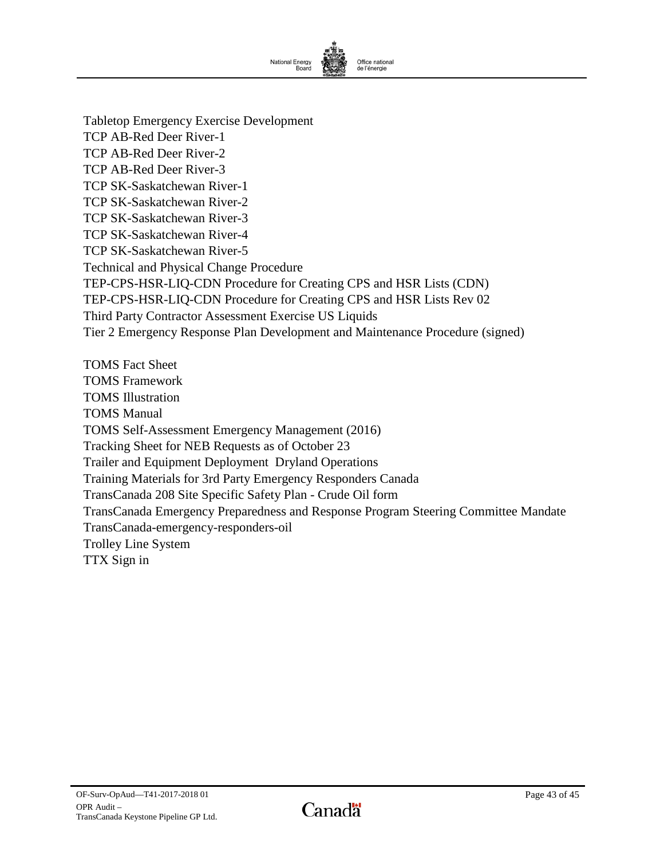

Tabletop Emergency Exercise Development TCP AB-Red Deer River-1 TCP AB-Red Deer River-2 TCP AB-Red Deer River-3 TCP SK-Saskatchewan River-1 TCP SK-Saskatchewan River-2 TCP SK-Saskatchewan River-3 TCP SK-Saskatchewan River-4 TCP SK-Saskatchewan River-5 Technical and Physical Change Procedure TEP-CPS-HSR-LIQ-CDN Procedure for Creating CPS and HSR Lists (CDN) TEP-CPS-HSR-LIQ-CDN Procedure for Creating CPS and HSR Lists Rev 02 Third Party Contractor Assessment Exercise US Liquids Tier 2 Emergency Response Plan Development and Maintenance Procedure (signed)

TOMS Fact Sheet TOMS Framework TOMS Illustration TOMS Manual TOMS Self-Assessment Emergency Management (2016) Tracking Sheet for NEB Requests as of October 23 Trailer and Equipment Deployment Dryland Operations Training Materials for 3rd Party Emergency Responders Canada TransCanada 208 Site Specific Safety Plan - Crude Oil form TransCanada Emergency Preparedness and Response Program Steering Committee Mandate TransCanada-emergency-responders-oil Trolley Line System TTX Sign in

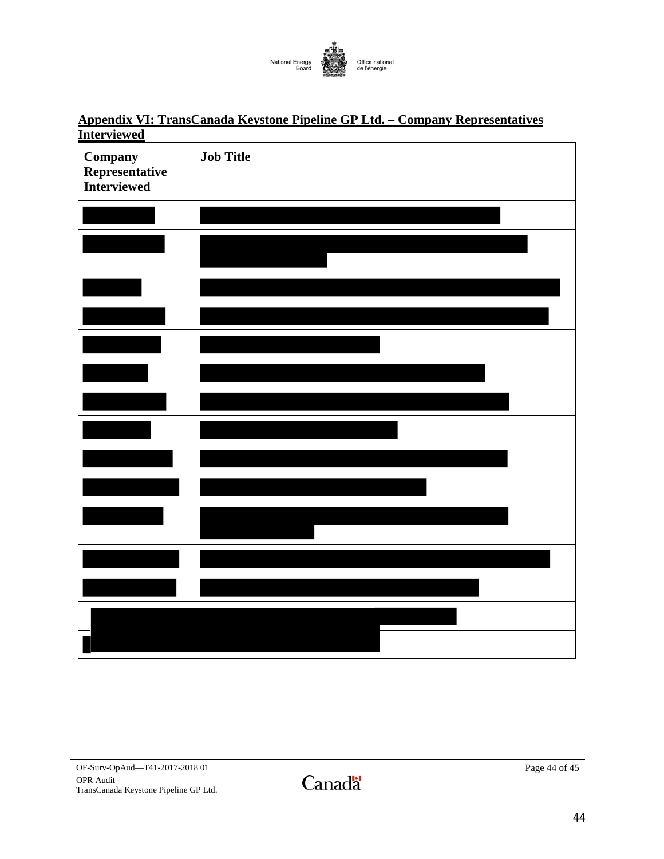

# <span id="page-45-0"></span>**Appendix VI: TransCanada Keystone Pipeline GP Ltd. – Company Representatives Interviewed**

| Company<br>Representative<br><b>Interviewed</b> | <b>Job Title</b> |
|-------------------------------------------------|------------------|
|                                                 |                  |
|                                                 |                  |
|                                                 |                  |
|                                                 |                  |
|                                                 |                  |
|                                                 |                  |
|                                                 |                  |
|                                                 |                  |
|                                                 |                  |
|                                                 |                  |
|                                                 |                  |
|                                                 |                  |
|                                                 |                  |
|                                                 | $\mathbf{L}$     |